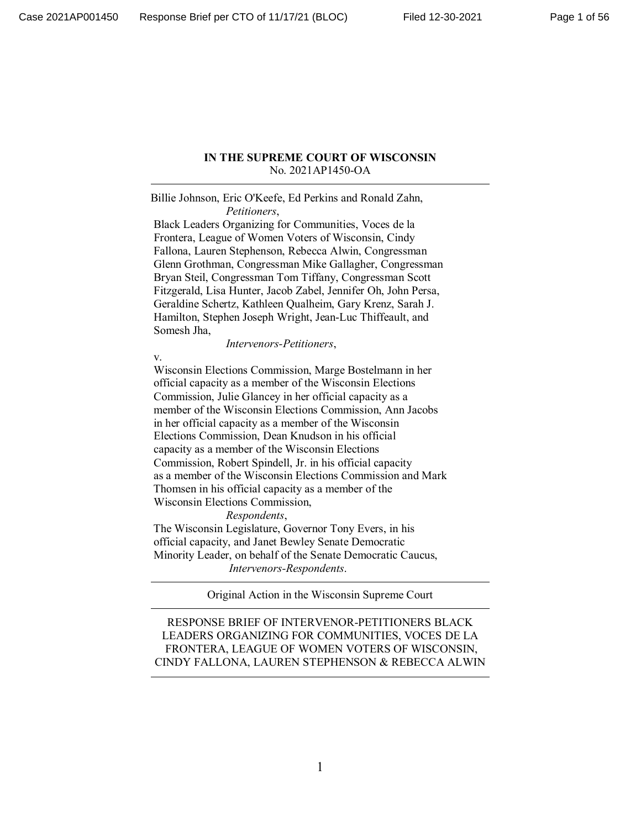#### **IN THE SUPREME COURT OF WISCONSIN** No. 2021AP1450-OA

Billie Johnson, Eric O'Keefe, Ed Perkins and Ronald Zahn, *Petitioners*,

 Black Leaders Organizing for Communities, Voces de la Frontera, League of Women Voters of Wisconsin, Cindy Fallona, Lauren Stephenson, Rebecca Alwin, Congressman Glenn Grothman, Congressman Mike Gallagher, Congressman Bryan Steil, Congressman Tom Tiffany, Congressman Scott Fitzgerald, Lisa Hunter, Jacob Zabel, Jennifer Oh, John Persa, Geraldine Schertz, Kathleen Qualheim, Gary Krenz, Sarah J. Hamilton, Stephen Joseph Wright, Jean-Luc Thiffeault, and Somesh Jha,

*Intervenors-Petitioners*,

v.

 Wisconsin Elections Commission, Marge Bostelmann in her official capacity as a member of the Wisconsin Elections Commission, Julie Glancey in her official capacity as a member of the Wisconsin Elections Commission, Ann Jacobs in her official capacity as a member of the Wisconsin Elections Commission, Dean Knudson in his official capacity as a member of the Wisconsin Elections Commission, Robert Spindell, Jr. in his official capacity as a member of the Wisconsin Elections Commission and Mark Thomsen in his official capacity as a member of the Wisconsin Elections Commission,

*Respondents*,

 The Wisconsin Legislature, Governor Tony Evers, in his official capacity, and Janet Bewley Senate Democratic Minority Leader, on behalf of the Senate Democratic Caucus, *Intervenors-Respondents*.

Original Action in the Wisconsin Supreme Court

RESPONSE BRIEF OF INTERVENOR-PETITIONERS BLACK LEADERS ORGANIZING FOR COMMUNITIES, VOCES DE LA FRONTERA, LEAGUE OF WOMEN VOTERS OF WISCONSIN, CINDY FALLONA, LAUREN STEPHENSON & REBECCA ALWIN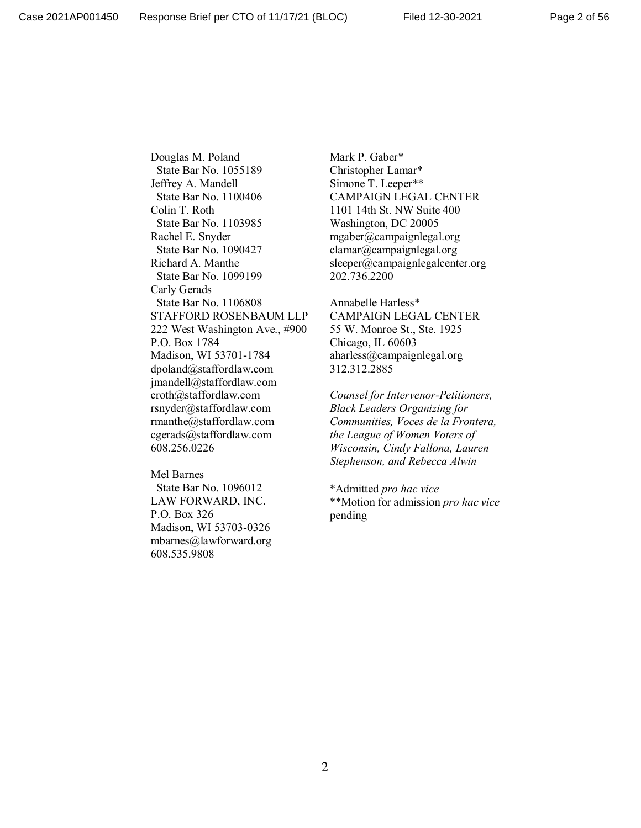Douglas M. Poland State Bar No. 1055189 Jeffrey A. Mandell State Bar No. 1100406 Colin T. Roth State Bar No. 1103985 Rachel E. Snyder State Bar No. 1090427 Richard A. Manthe State Bar No. 1099199 Carly Gerads State Bar No. 1106808 STAFFORD ROSENBAUM LLP 222 West Washington Ave., #900 P.O. Box 1784 Madison, WI 53701-1784 dpoland@staffordlaw.com jmandell@staffordlaw.com croth@staffordlaw.com rsnyder@staffordlaw.com rmanthe@staffordlaw.com cgerads@staffordlaw.com 608.256.0226

Mel Barnes State Bar No. 1096012 LAW FORWARD, INC. P.O. Box 326 Madison, WI 53703-0326 mbarnes@lawforward.org 608.535.9808

Mark P. Gaber\* Christopher Lamar\* Simone T. Leeper\*\* CAMPAIGN LEGAL CENTER 1101 14th St. NW Suite 400 Washington, DC 20005 mgaber@campaignlegal.org clamar@campaignlegal.org sleeper@campaignlegalcenter.org 202.736.2200

Annabelle Harless\* CAMPAIGN LEGAL CENTER 55 W. Monroe St., Ste. 1925 Chicago, IL 60603 aharless@campaignlegal.org 312.312.2885

*Counsel for Intervenor-Petitioners, Black Leaders Organizing for Communities, Voces de la Frontera, the League of Women Voters of Wisconsin, Cindy Fallona, Lauren Stephenson, and Rebecca Alwin*

\*Admitted *pro hac vice* \*\*Motion for admission *pro hac vice* pending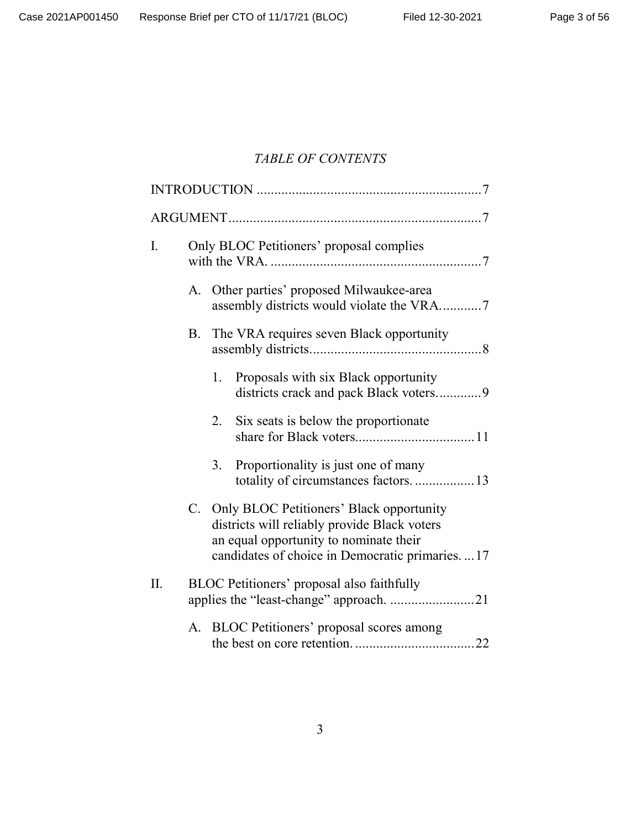# *TABLE OF CONTENTS*

| I.  |    |    | Only BLOC Petitioners' proposal complies                                                                                                                                                |  |
|-----|----|----|-----------------------------------------------------------------------------------------------------------------------------------------------------------------------------------------|--|
|     | А. |    | Other parties' proposed Milwaukee-area<br>assembly districts would violate the VRA7                                                                                                     |  |
|     | В. |    | The VRA requires seven Black opportunity                                                                                                                                                |  |
|     |    | 1. | Proposals with six Black opportunity<br>districts crack and pack Black voters9                                                                                                          |  |
|     |    | 2. | Six seats is below the proportionate                                                                                                                                                    |  |
|     |    | 3. | Proportionality is just one of many<br>totality of circumstances factors13                                                                                                              |  |
|     |    |    | C. Only BLOC Petitioners' Black opportunity<br>districts will reliably provide Black voters<br>an equal opportunity to nominate their<br>candidates of choice in Democratic primaries17 |  |
| II. |    |    | BLOC Petitioners' proposal also faithfully<br>applies the "least-change" approach. 21                                                                                                   |  |
|     | A. |    | BLOC Petitioners' proposal scores among                                                                                                                                                 |  |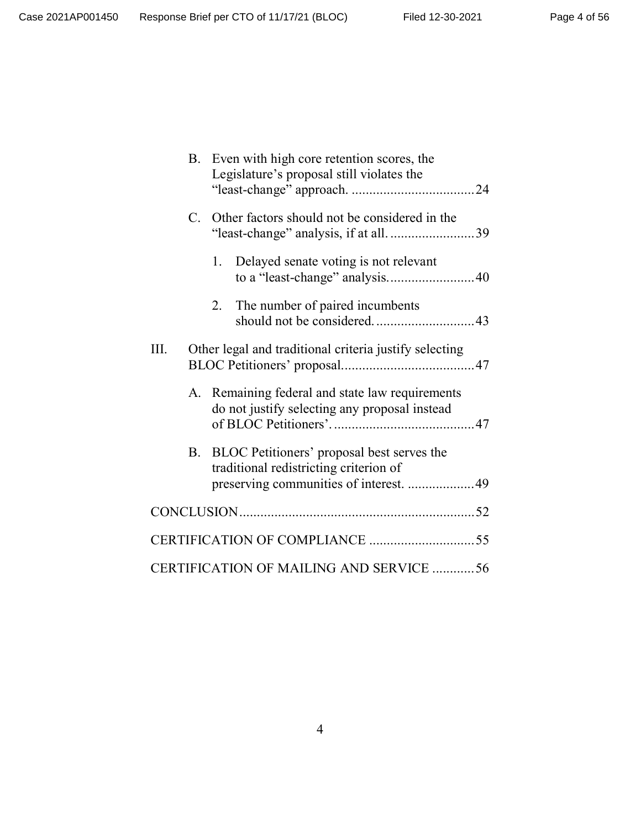|      |    | B. Even with high core retention scores, the<br>Legislature's proposal still violates the                                      |
|------|----|--------------------------------------------------------------------------------------------------------------------------------|
|      | C. | Other factors should not be considered in the                                                                                  |
|      |    | Delayed senate voting is not relevant<br>1.<br>to a "least-change" analysis40                                                  |
|      |    | The number of paired incumbents<br>2.                                                                                          |
| III. |    | Other legal and traditional criteria justify selecting                                                                         |
|      | А. | Remaining federal and state law requirements<br>do not justify selecting any proposal instead                                  |
|      | B. | BLOC Petitioners' proposal best serves the<br>traditional redistricting criterion of<br>preserving communities of interest. 49 |
|      |    |                                                                                                                                |
|      |    |                                                                                                                                |
|      |    | CERTIFICATION OF MAILING AND SERVICE 56                                                                                        |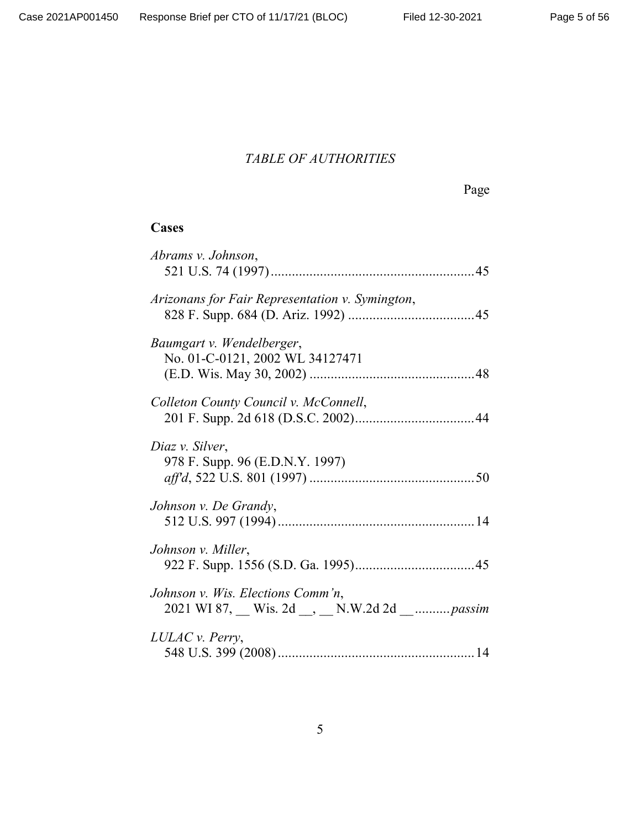# *TABLE OF AUTHORITIES*

Page

# **Cases**

| Abrams v. Johnson,                                                          |  |
|-----------------------------------------------------------------------------|--|
| Arizonans for Fair Representation v. Symington,                             |  |
| Baumgart v. Wendelberger,<br>No. 01-C-0121, 2002 WL 34127471                |  |
| Colleton County Council v. McConnell,                                       |  |
| Diaz v. Silver,<br>978 F. Supp. 96 (E.D.N.Y. 1997)                          |  |
| Johnson v. De Grandy,                                                       |  |
| Johnson v. Miller,                                                          |  |
| Johnson v. Wis. Elections Comm'n,<br>2021 WI 87, Wis. 2d, N.W.2d 2d  passim |  |
| LULAC v. Perry,                                                             |  |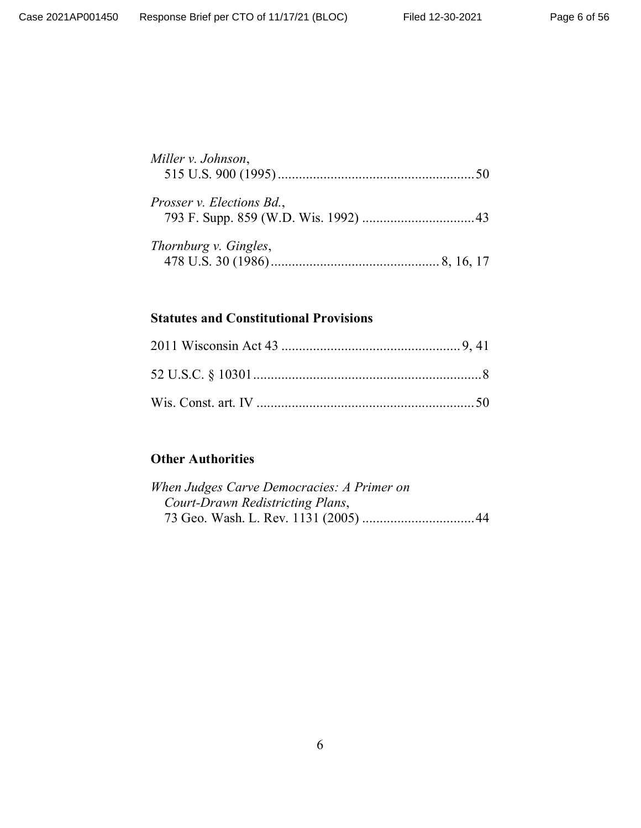| Miller v. Johnson,               |  |  |
|----------------------------------|--|--|
| <i>Prosser v. Elections Bd.,</i> |  |  |
|                                  |  |  |

| Thornburg v. Gingles, |  |
|-----------------------|--|
|                       |  |

# **Statutes and Constitutional Provisions**

# **Other Authorities**

| When Judges Carve Democracies: A Primer on |  |
|--------------------------------------------|--|
| Court-Drawn Redistricting Plans,           |  |
|                                            |  |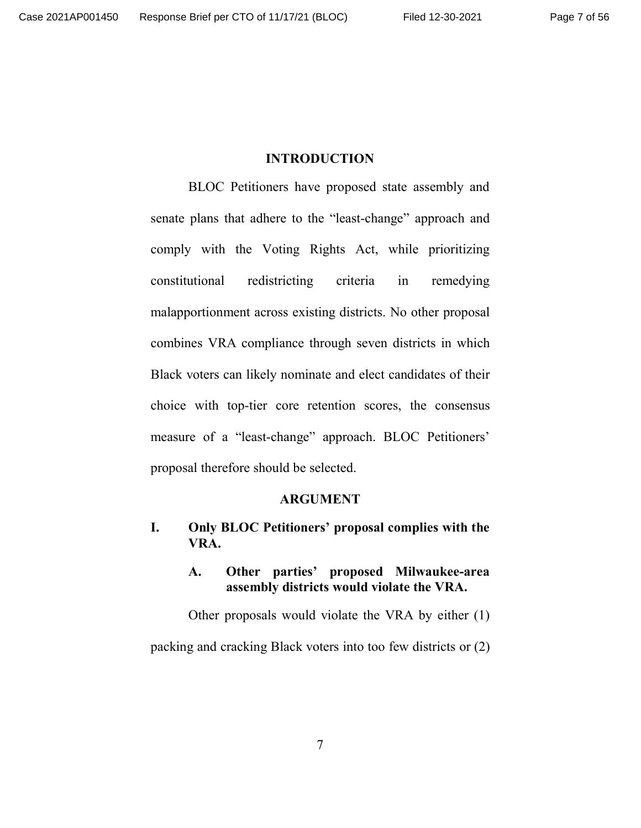#### **INTRODUCTION**

BLOC Petitioners have proposed state assembly and senate plans that adhere to the "least-change" approach and comply with the Voting Rights Act, while prioritizing constitutional redistricting criteria in remedying malapportionment across existing districts. No other proposal combines VRA compliance through seven districts in which Black voters can likely nominate and elect candidates of their choice with top-tier core retention scores, the consensus measure of a "least-change" approach. BLOC Petitioners' proposal therefore should be selected.

#### **ARGUMENT**

## **I. Only BLOC Petitioners' proposal complies with the VRA.**

#### **A. Other parties' proposed Milwaukee-area assembly districts would violate the VRA.**

Other proposals would violate the VRA by either (1) packing and cracking Black voters into too few districts or (2)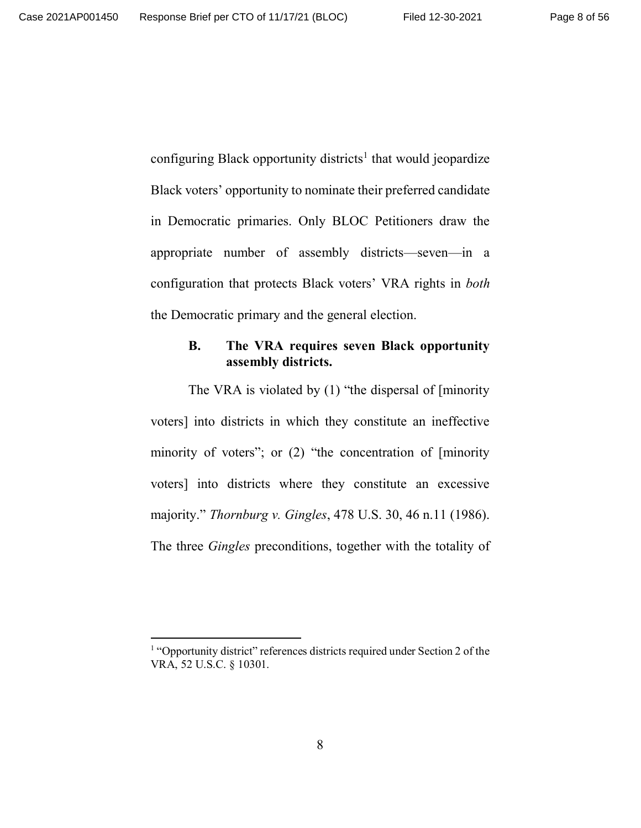configuring Black opportunity districts<sup>1</sup> that would jeopardize Black voters' opportunity to nominate their preferred candidate in Democratic primaries. Only BLOC Petitioners draw the appropriate number of assembly districts—seven—in a configuration that protects Black voters' VRA rights in *both* the Democratic primary and the general election.

#### **B. The VRA requires seven Black opportunity assembly districts.**

The VRA is violated by (1) "the dispersal of [minority voters] into districts in which they constitute an ineffective minority of voters"; or (2) "the concentration of [minority voters] into districts where they constitute an excessive majority." *Thornburg v. Gingles*, 478 U.S. 30, 46 n.11 (1986). The three *Gingles* preconditions, together with the totality of

<sup>&</sup>lt;sup>1</sup> "Opportunity district" references districts required under Section 2 of the VRA, 52 U.S.C. § 10301.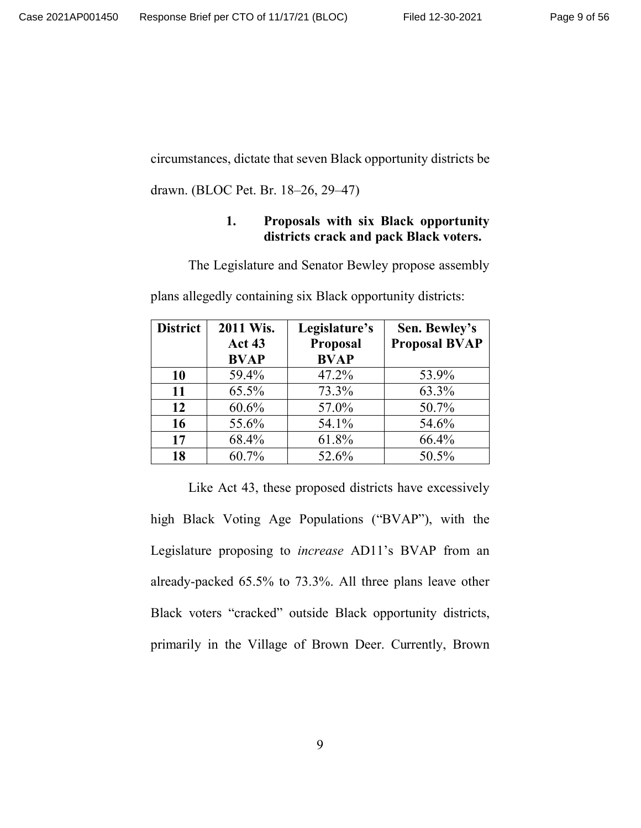circumstances, dictate that seven Black opportunity districts be

drawn. (BLOC Pet. Br. 18–26, 29–47)

#### **1. Proposals with six Black opportunity districts crack and pack Black voters.**

The Legislature and Senator Bewley propose assembly

plans allegedly containing six Black opportunity districts:

| <b>District</b> | 2011 Wis.<br><b>Act 43</b> | Legislature's<br>Proposal | Sen. Bewley's<br><b>Proposal BVAP</b> |
|-----------------|----------------------------|---------------------------|---------------------------------------|
|                 | <b>BVAP</b>                | <b>BVAP</b>               |                                       |
| 10              | 59.4%                      | 47.2%                     | 53.9%                                 |
| 11              | 65.5%                      | 73.3%                     | 63.3%                                 |
| 12              | 60.6%                      | 57.0%                     | 50.7%                                 |
| 16              | 55.6%                      | 54.1%                     | 54.6%                                 |
| 17              | 68.4%                      | 61.8%                     | 66.4%                                 |
| 18              | 60.7%                      | 52.6%                     | 50.5%                                 |

Like Act 43, these proposed districts have excessively high Black Voting Age Populations ("BVAP"), with the Legislature proposing to *increase* AD11's BVAP from an already-packed 65.5% to 73.3%. All three plans leave other Black voters "cracked" outside Black opportunity districts, primarily in the Village of Brown Deer. Currently, Brown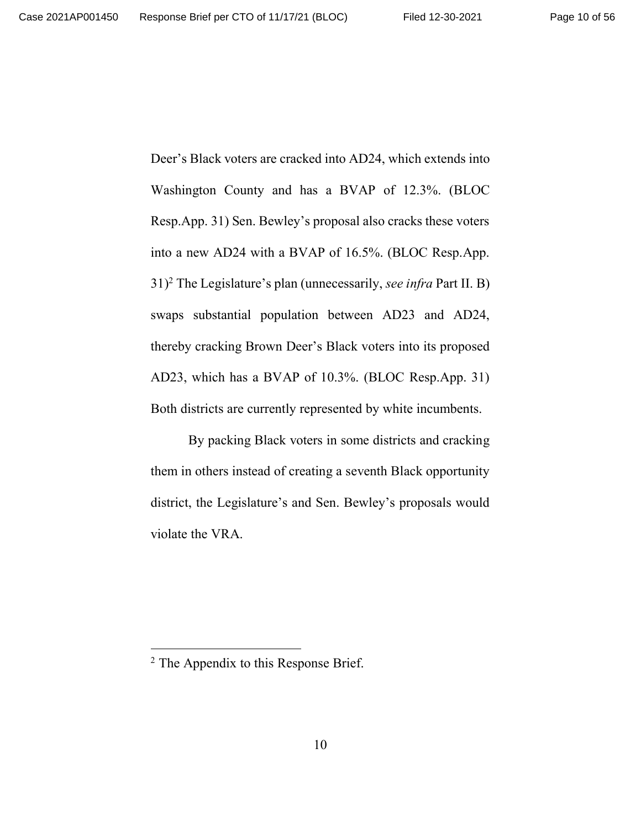Deer's Black voters are cracked into AD24, which extends into Washington County and has a BVAP of 12.3%. (BLOC Resp.App. 31) Sen. Bewley's proposal also cracks these voters into a new AD24 with a BVAP of 16.5%. (BLOC Resp.App. 31)<sup>2</sup> The Legislature's plan (unnecessarily, *see infra* Part II. B) swaps substantial population between AD23 and AD24, thereby cracking Brown Deer's Black voters into its proposed AD23, which has a BVAP of 10.3%. (BLOC Resp.App. 31) Both districts are currently represented by white incumbents.

By packing Black voters in some districts and cracking them in others instead of creating a seventh Black opportunity district, the Legislature's and Sen. Bewley's proposals would violate the VRA.

<sup>&</sup>lt;sup>2</sup> The Appendix to this Response Brief.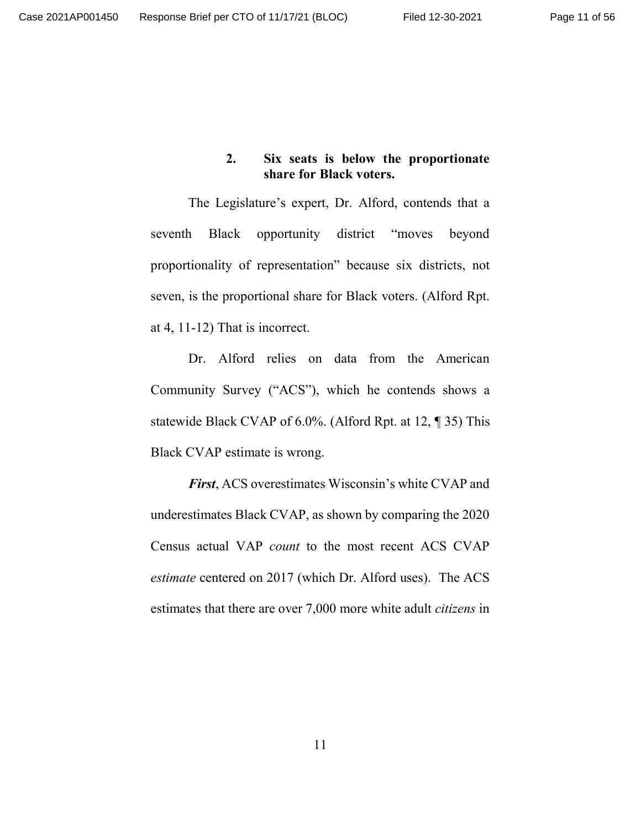#### **2. Six seats is below the proportionate share for Black voters.**

The Legislature's expert, Dr. Alford, contends that a seventh Black opportunity district "moves beyond proportionality of representation" because six districts, not seven, is the proportional share for Black voters. (Alford Rpt. at 4, 11-12) That is incorrect.

Dr. Alford relies on data from the American Community Survey ("ACS"), which he contends shows a statewide Black CVAP of 6.0%. (Alford Rpt. at 12, ¶ 35) This Black CVAP estimate is wrong.

*First*, ACS overestimates Wisconsin's white CVAP and underestimates Black CVAP, as shown by comparing the 2020 Census actual VAP *count* to the most recent ACS CVAP *estimate* centered on 2017 (which Dr. Alford uses). The ACS estimates that there are over 7,000 more white adult *citizens* in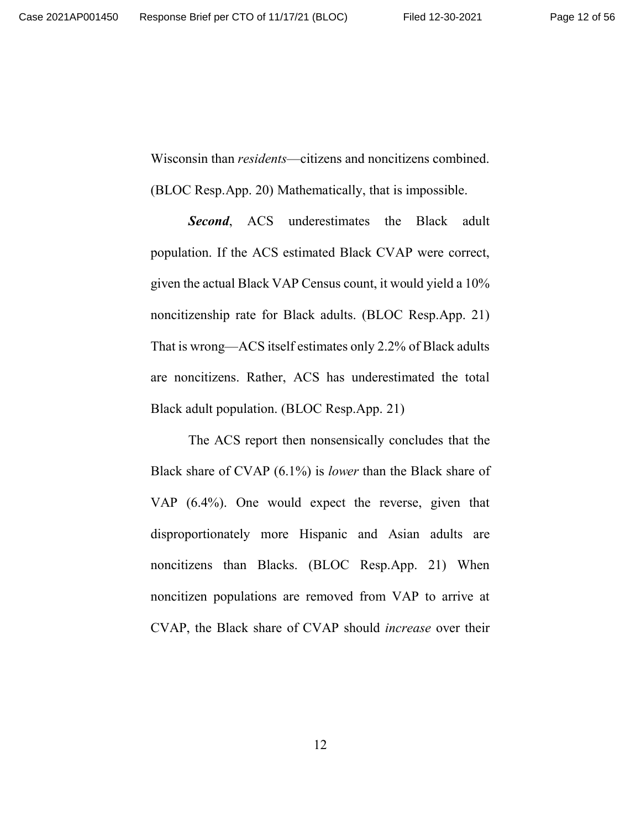Wisconsin than *residents*—citizens and noncitizens combined.

(BLOC Resp.App. 20) Mathematically, that is impossible.

**Second**, ACS underestimates the Black adult population. If the ACS estimated Black CVAP were correct, given the actual Black VAP Census count, it would yield a 10% noncitizenship rate for Black adults. (BLOC Resp.App. 21) That is wrong—ACS itself estimates only 2.2% of Black adults are noncitizens. Rather, ACS has underestimated the total Black adult population. (BLOC Resp.App. 21)

The ACS report then nonsensically concludes that the Black share of CVAP (6.1%) is *lower* than the Black share of VAP (6.4%). One would expect the reverse, given that disproportionately more Hispanic and Asian adults are noncitizens than Blacks. (BLOC Resp.App. 21) When noncitizen populations are removed from VAP to arrive at CVAP, the Black share of CVAP should *increase* over their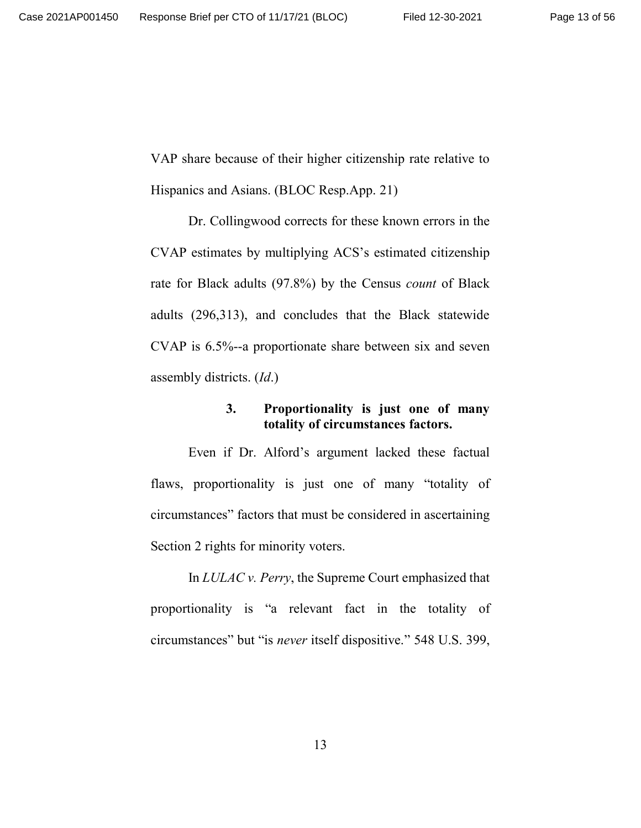VAP share because of their higher citizenship rate relative to Hispanics and Asians. (BLOC Resp.App. 21)

Dr. Collingwood corrects for these known errors in the CVAP estimates by multiplying ACS's estimated citizenship rate for Black adults (97.8%) by the Census *count* of Black adults (296,313), and concludes that the Black statewide CVAP is 6.5%--a proportionate share between six and seven assembly districts. (*Id*.)

#### **3. Proportionality is just one of many totality of circumstances factors.**

Even if Dr. Alford's argument lacked these factual flaws, proportionality is just one of many "totality of circumstances" factors that must be considered in ascertaining Section 2 rights for minority voters.

In *LULAC v. Perry*, the Supreme Court emphasized that proportionality is "a relevant fact in the totality of circumstances" but "is *never* itself dispositive." 548 U.S. 399,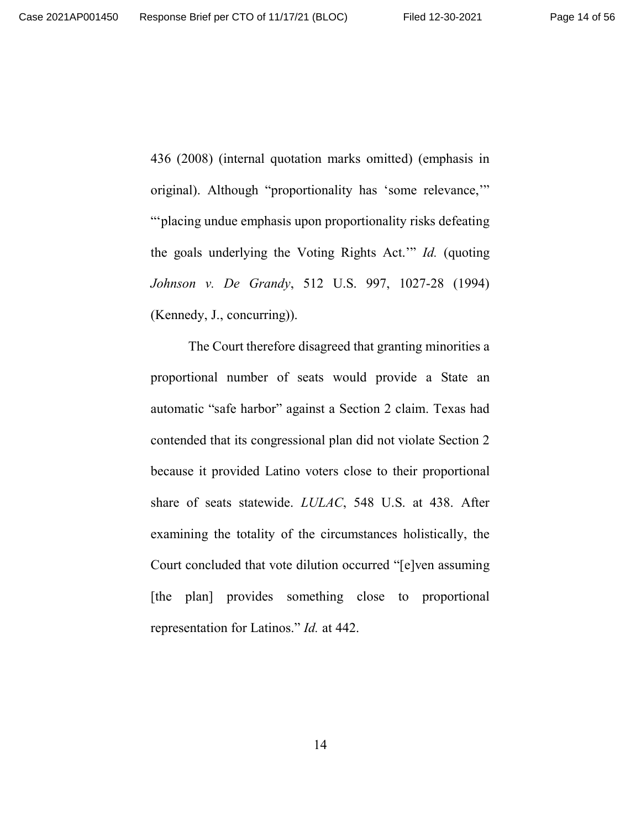436 (2008) (internal quotation marks omitted) (emphasis in original). Although "proportionality has 'some relevance,'" "'placing undue emphasis upon proportionality risks defeating the goals underlying the Voting Rights Act.'" *Id.* (quoting *Johnson v. De Grandy*, 512 U.S. 997, 1027-28 (1994) (Kennedy, J., concurring)).

The Court therefore disagreed that granting minorities a proportional number of seats would provide a State an automatic "safe harbor" against a Section 2 claim. Texas had contended that its congressional plan did not violate Section 2 because it provided Latino voters close to their proportional share of seats statewide. *LULAC*, 548 U.S. at 438. After examining the totality of the circumstances holistically, the Court concluded that vote dilution occurred "[e]ven assuming [the plan] provides something close to proportional representation for Latinos." *Id.* at 442.

14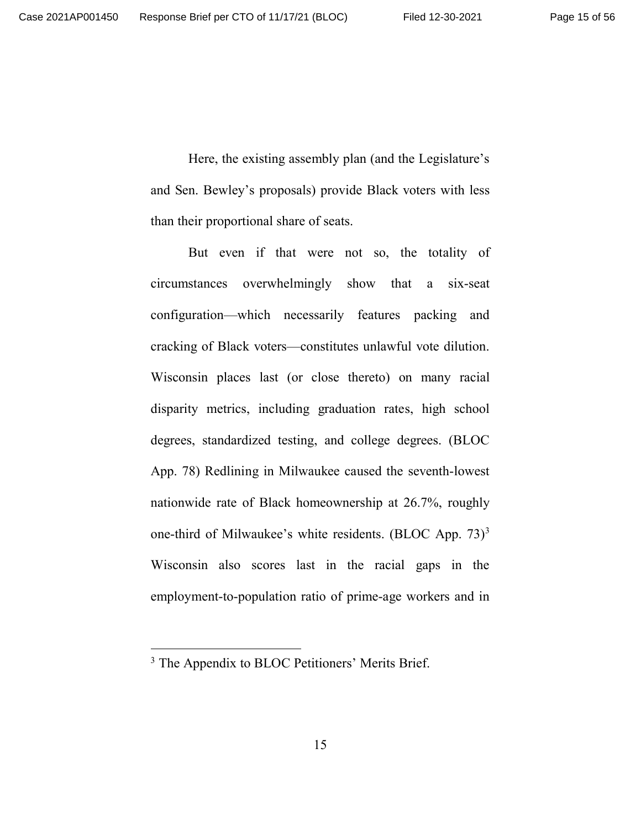Here, the existing assembly plan (and the Legislature's and Sen. Bewley's proposals) provide Black voters with less than their proportional share of seats.

But even if that were not so, the totality of circumstances overwhelmingly show that a six-seat configuration—which necessarily features packing and cracking of Black voters—constitutes unlawful vote dilution. Wisconsin places last (or close thereto) on many racial disparity metrics, including graduation rates, high school degrees, standardized testing, and college degrees. (BLOC App. 78) Redlining in Milwaukee caused the seventh-lowest nationwide rate of Black homeownership at 26.7%, roughly one-third of Milwaukee's white residents. (BLOC App.  $73$ )<sup>3</sup> Wisconsin also scores last in the racial gaps in the employment-to-population ratio of prime-age workers and in

<sup>&</sup>lt;sup>3</sup> The Appendix to BLOC Petitioners' Merits Brief.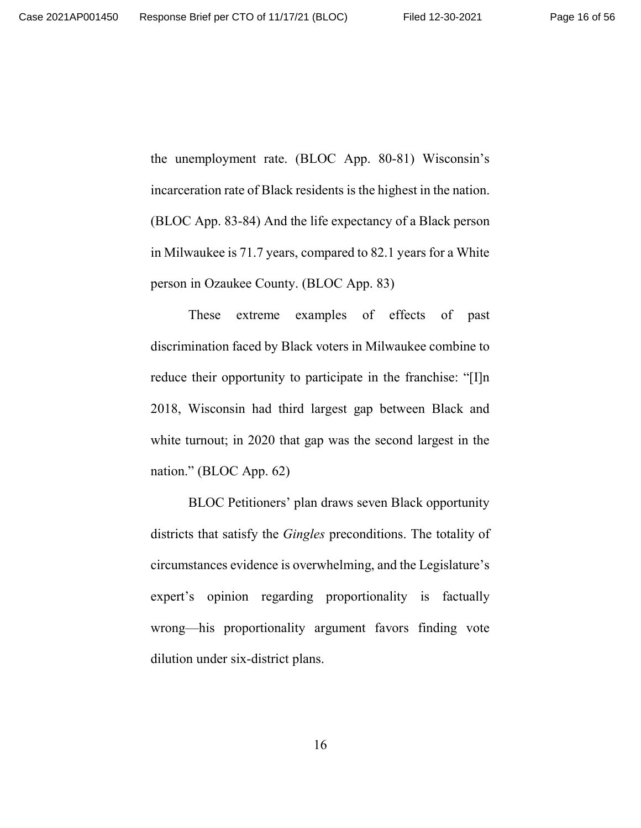the unemployment rate. (BLOC App. 80-81) Wisconsin's incarceration rate of Black residents is the highest in the nation. (BLOC App. 83-84) And the life expectancy of a Black person in Milwaukee is 71.7 years, compared to 82.1 years for a White person in Ozaukee County. (BLOC App. 83)

These extreme examples of effects of past discrimination faced by Black voters in Milwaukee combine to reduce their opportunity to participate in the franchise: "[I]n 2018, Wisconsin had third largest gap between Black and white turnout; in 2020 that gap was the second largest in the nation." (BLOC App. 62)

BLOC Petitioners' plan draws seven Black opportunity districts that satisfy the *Gingles* preconditions. The totality of circumstances evidence is overwhelming, and the Legislature's expert's opinion regarding proportionality is factually wrong—his proportionality argument favors finding vote dilution under six-district plans.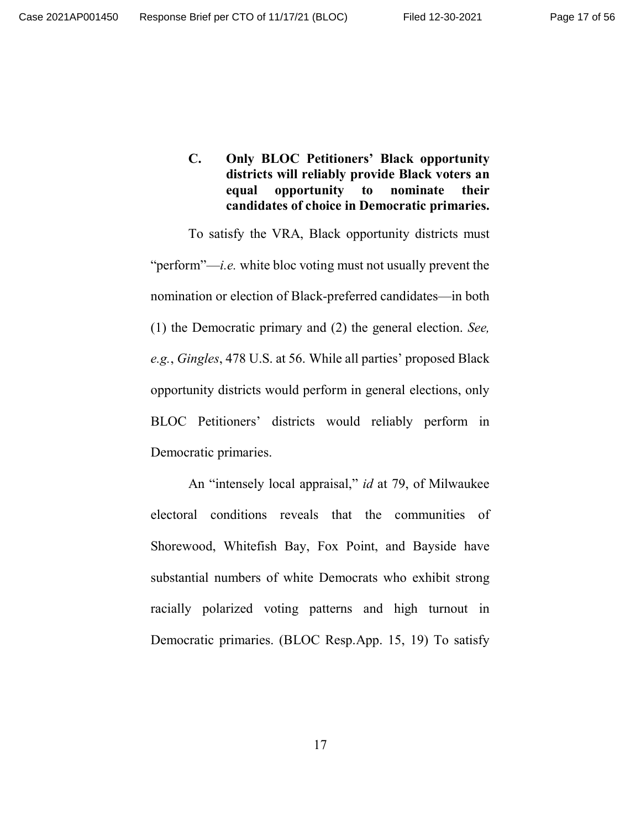**C. Only BLOC Petitioners' Black opportunity districts will reliably provide Black voters an equal opportunity to nominate their candidates of choice in Democratic primaries.**

To satisfy the VRA, Black opportunity districts must "perform"—*i.e.* white bloc voting must not usually prevent the nomination or election of Black-preferred candidates—in both (1) the Democratic primary and (2) the general election. *See, e.g.*, *Gingles*, 478 U.S. at 56. While all parties' proposed Black opportunity districts would perform in general elections, only BLOC Petitioners' districts would reliably perform in Democratic primaries.

An "intensely local appraisal," *id* at 79, of Milwaukee electoral conditions reveals that the communities of Shorewood, Whitefish Bay, Fox Point, and Bayside have substantial numbers of white Democrats who exhibit strong racially polarized voting patterns and high turnout in Democratic primaries. (BLOC Resp.App. 15, 19) To satisfy

17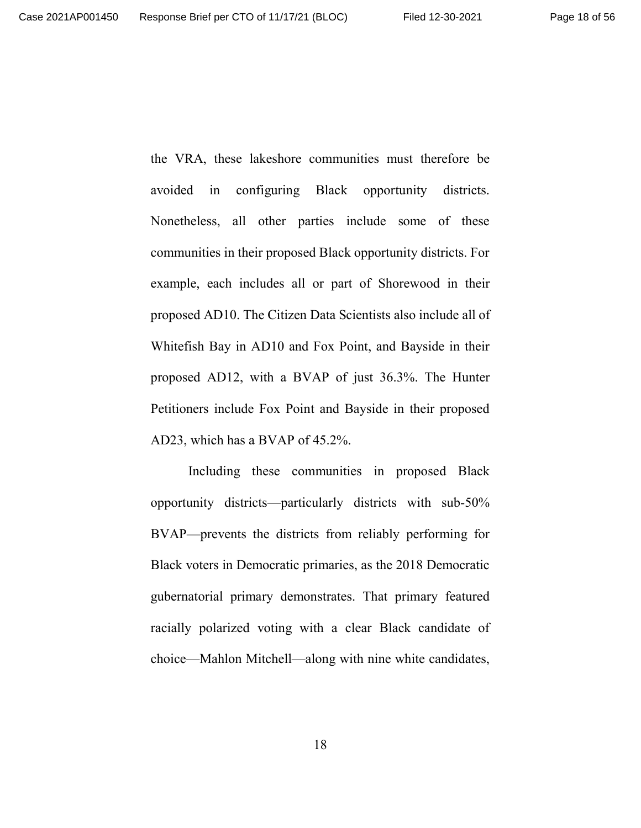the VRA, these lakeshore communities must therefore be avoided in configuring Black opportunity districts. Nonetheless, all other parties include some of these communities in their proposed Black opportunity districts. For example, each includes all or part of Shorewood in their proposed AD10. The Citizen Data Scientists also include all of Whitefish Bay in AD10 and Fox Point, and Bayside in their proposed AD12, with a BVAP of just 36.3%. The Hunter Petitioners include Fox Point and Bayside in their proposed AD23, which has a BVAP of 45.2%.

Including these communities in proposed Black opportunity districts—particularly districts with sub-50% BVAP—prevents the districts from reliably performing for Black voters in Democratic primaries, as the 2018 Democratic gubernatorial primary demonstrates. That primary featured racially polarized voting with a clear Black candidate of choice—Mahlon Mitchell—along with nine white candidates,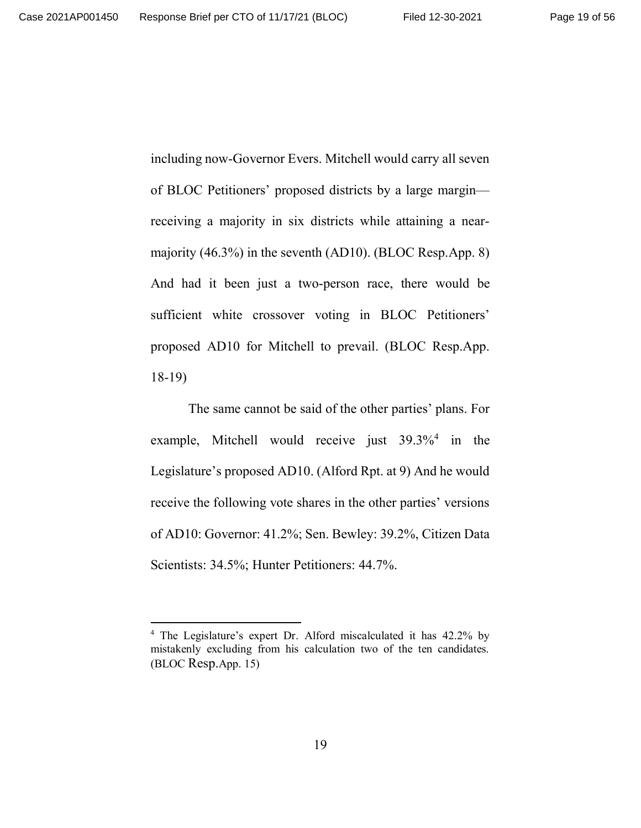including now-Governor Evers. Mitchell would carry all seven of BLOC Petitioners' proposed districts by a large margin receiving a majority in six districts while attaining a nearmajority (46.3%) in the seventh (AD10). (BLOC Resp.App. 8) And had it been just a two-person race, there would be sufficient white crossover voting in BLOC Petitioners' proposed AD10 for Mitchell to prevail. (BLOC Resp.App. 18-19)

The same cannot be said of the other parties' plans. For example, Mitchell would receive just 39.3%<sup>4</sup> in the Legislature's proposed AD10. (Alford Rpt. at 9) And he would receive the following vote shares in the other parties' versions of AD10: Governor: 41.2%; Sen. Bewley: 39.2%, Citizen Data Scientists: 34.5%; Hunter Petitioners: 44.7%.

<sup>&</sup>lt;sup>4</sup> The Legislature's expert Dr. Alford miscalculated it has 42.2% by mistakenly excluding from his calculation two of the ten candidates. (BLOC Resp.App. 15)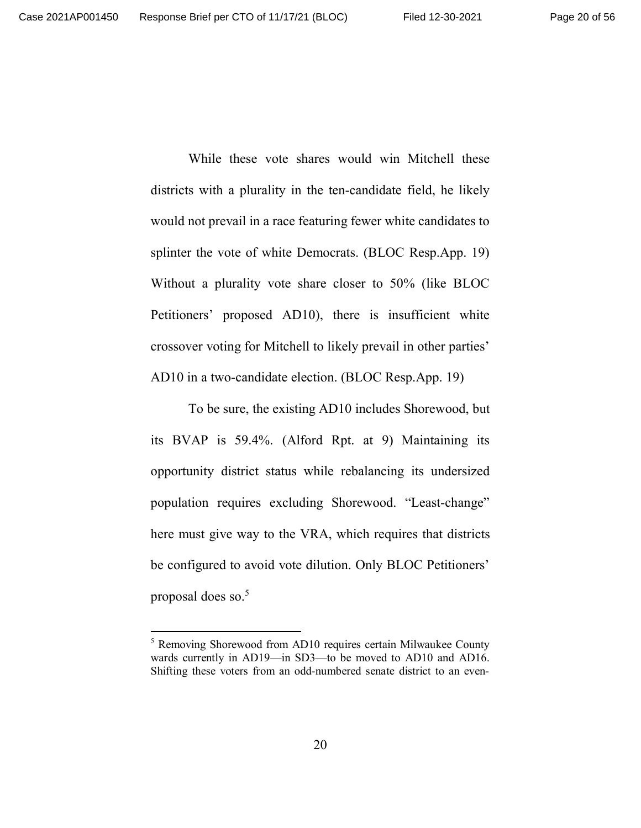While these vote shares would win Mitchell these districts with a plurality in the ten-candidate field, he likely would not prevail in a race featuring fewer white candidates to splinter the vote of white Democrats. (BLOC Resp.App. 19) Without a plurality vote share closer to 50% (like BLOC Petitioners' proposed AD10), there is insufficient white crossover voting for Mitchell to likely prevail in other parties' AD10 in a two-candidate election. (BLOC Resp.App. 19)

To be sure, the existing AD10 includes Shorewood, but its BVAP is 59.4%. (Alford Rpt. at 9) Maintaining its opportunity district status while rebalancing its undersized population requires excluding Shorewood. "Least-change" here must give way to the VRA, which requires that districts be configured to avoid vote dilution. Only BLOC Petitioners' proposal does so.<sup>5</sup>

<sup>&</sup>lt;sup>5</sup> Removing Shorewood from AD10 requires certain Milwaukee County wards currently in AD19—in SD3—to be moved to AD10 and AD16. Shifting these voters from an odd-numbered senate district to an even-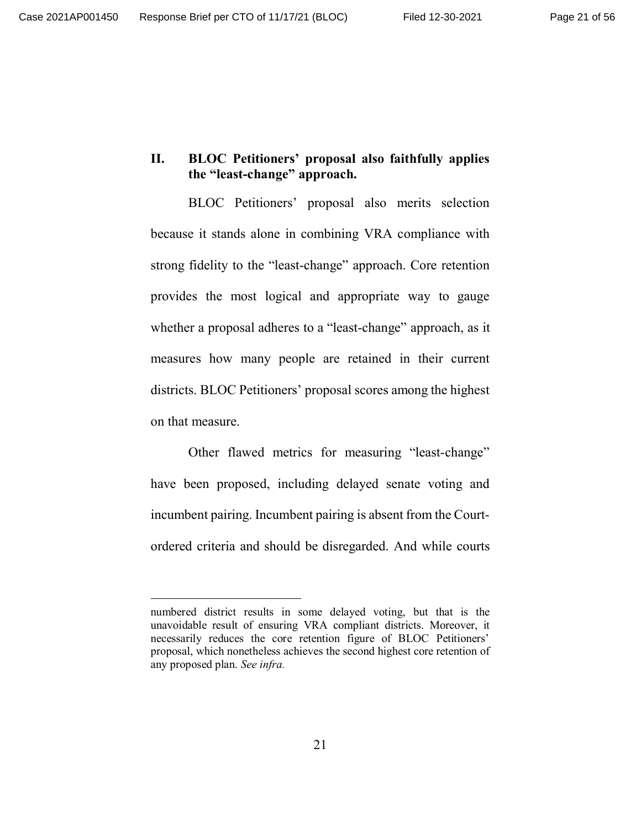#### **II. BLOC Petitioners' proposal also faithfully applies the "least-change" approach.**

BLOC Petitioners' proposal also merits selection because it stands alone in combining VRA compliance with strong fidelity to the "least-change" approach. Core retention provides the most logical and appropriate way to gauge whether a proposal adheres to a "least-change" approach, as it measures how many people are retained in their current districts. BLOC Petitioners' proposal scores among the highest on that measure.

Other flawed metrics for measuring "least-change" have been proposed, including delayed senate voting and incumbent pairing. Incumbent pairing is absent from the Courtordered criteria and should be disregarded. And while courts

numbered district results in some delayed voting, but that is the unavoidable result of ensuring VRA compliant districts. Moreover, it necessarily reduces the core retention figure of BLOC Petitioners' proposal, which nonetheless achieves the second highest core retention of any proposed plan. *See infra.*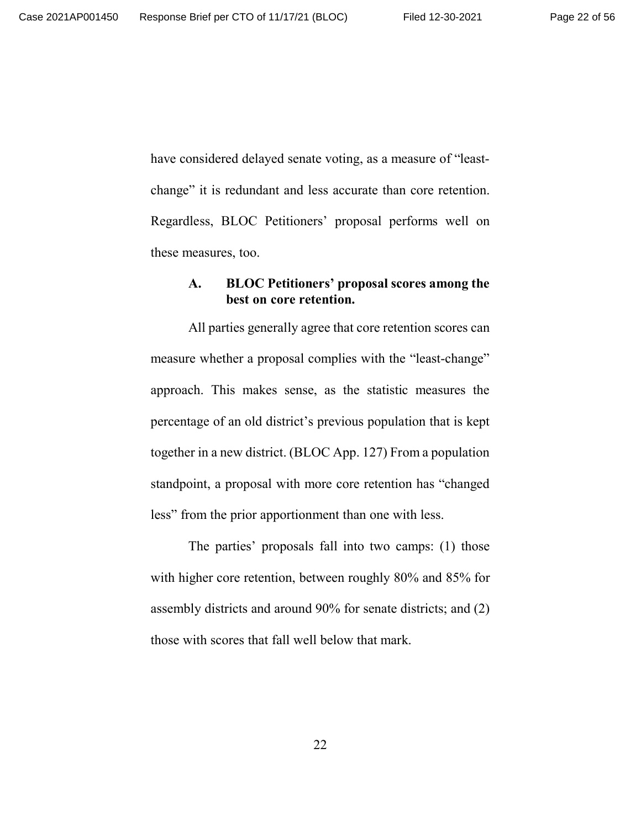have considered delayed senate voting, as a measure of "leastchange" it is redundant and less accurate than core retention. Regardless, BLOC Petitioners' proposal performs well on these measures, too.

# **A. BLOC Petitioners' proposal scores among the best on core retention.**

All parties generally agree that core retention scores can measure whether a proposal complies with the "least-change" approach. This makes sense, as the statistic measures the percentage of an old district's previous population that is kept together in a new district. (BLOC App. 127) From a population standpoint, a proposal with more core retention has "changed less" from the prior apportionment than one with less.

The parties' proposals fall into two camps: (1) those with higher core retention, between roughly 80% and 85% for assembly districts and around 90% for senate districts; and (2) those with scores that fall well below that mark.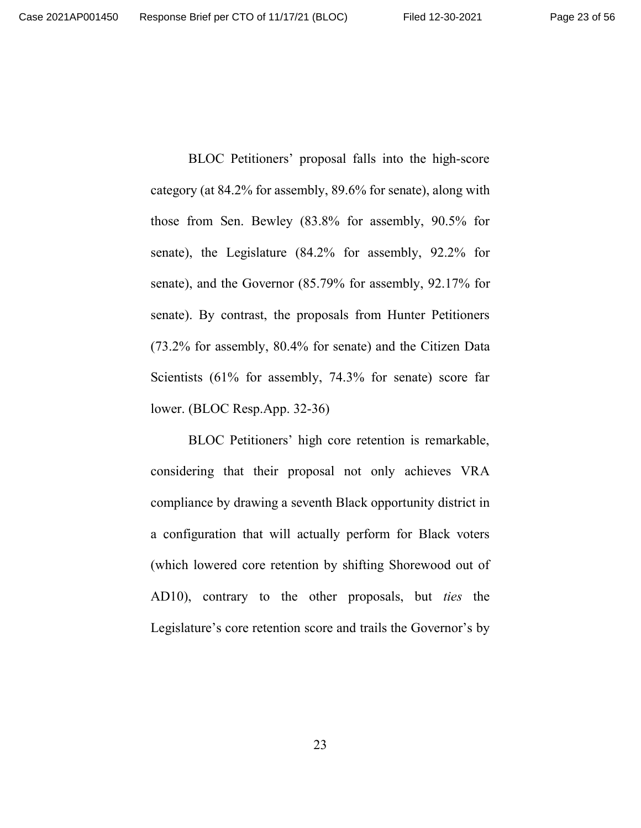BLOC Petitioners' proposal falls into the high-score category (at 84.2% for assembly, 89.6% for senate), along with those from Sen. Bewley (83.8% for assembly, 90.5% for senate), the Legislature (84.2% for assembly, 92.2% for senate), and the Governor (85.79% for assembly, 92.17% for senate). By contrast, the proposals from Hunter Petitioners (73.2% for assembly, 80.4% for senate) and the Citizen Data Scientists (61% for assembly, 74.3% for senate) score far lower. (BLOC Resp.App. 32-36)

BLOC Petitioners' high core retention is remarkable, considering that their proposal not only achieves VRA compliance by drawing a seventh Black opportunity district in a configuration that will actually perform for Black voters (which lowered core retention by shifting Shorewood out of AD10), contrary to the other proposals, but *ties* the Legislature's core retention score and trails the Governor's by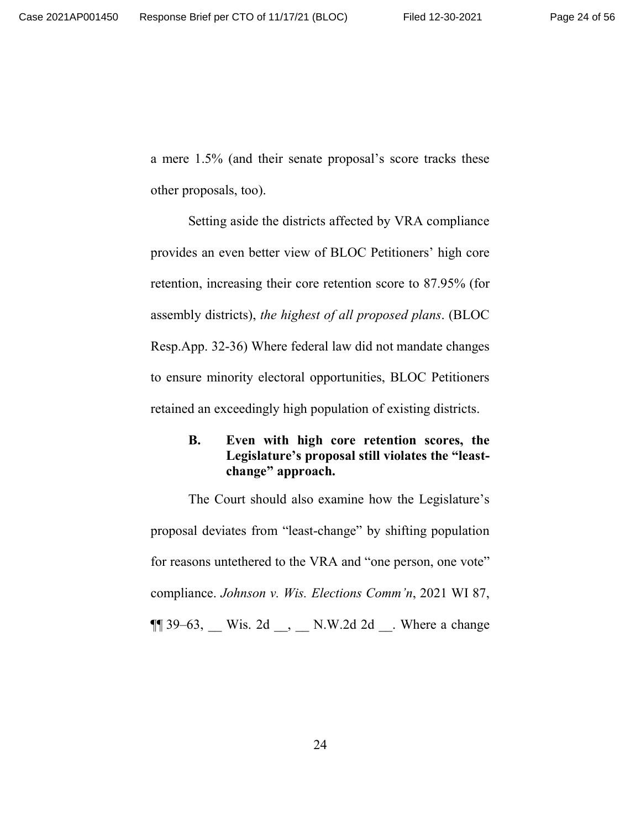a mere 1.5% (and their senate proposal's score tracks these other proposals, too).

Setting aside the districts affected by VRA compliance provides an even better view of BLOC Petitioners' high core retention, increasing their core retention score to 87.95% (for assembly districts), *the highest of all proposed plans*. (BLOC Resp.App. 32-36) Where federal law did not mandate changes to ensure minority electoral opportunities, BLOC Petitioners retained an exceedingly high population of existing districts.

### **B. Even with high core retention scores, the Legislature's proposal still violates the "leastchange" approach.**

The Court should also examine how the Legislature's proposal deviates from "least-change" by shifting population for reasons untethered to the VRA and "one person, one vote" compliance. *Johnson v. Wis. Elections Comm'n*, 2021 WI 87,  $\P$  39–63, Wis. 2d , N.W.2d 2d . Where a change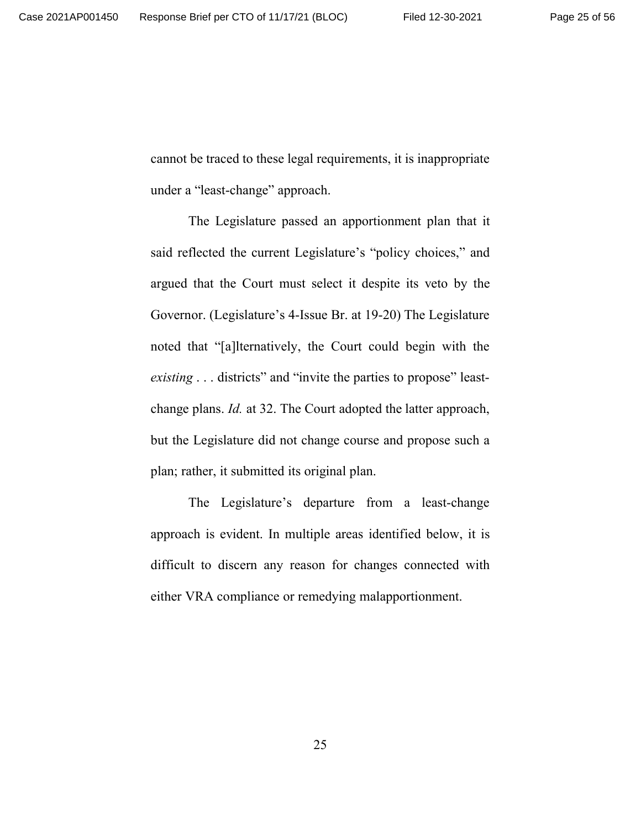cannot be traced to these legal requirements, it is inappropriate under a "least-change" approach.

The Legislature passed an apportionment plan that it said reflected the current Legislature's "policy choices," and argued that the Court must select it despite its veto by the Governor. (Legislature's 4-Issue Br. at 19-20) The Legislature noted that "[a]lternatively, the Court could begin with the *existing* . . . districts" and "invite the parties to propose" leastchange plans. *Id.* at 32. The Court adopted the latter approach, but the Legislature did not change course and propose such a plan; rather, it submitted its original plan.

The Legislature's departure from a least-change approach is evident. In multiple areas identified below, it is difficult to discern any reason for changes connected with either VRA compliance or remedying malapportionment.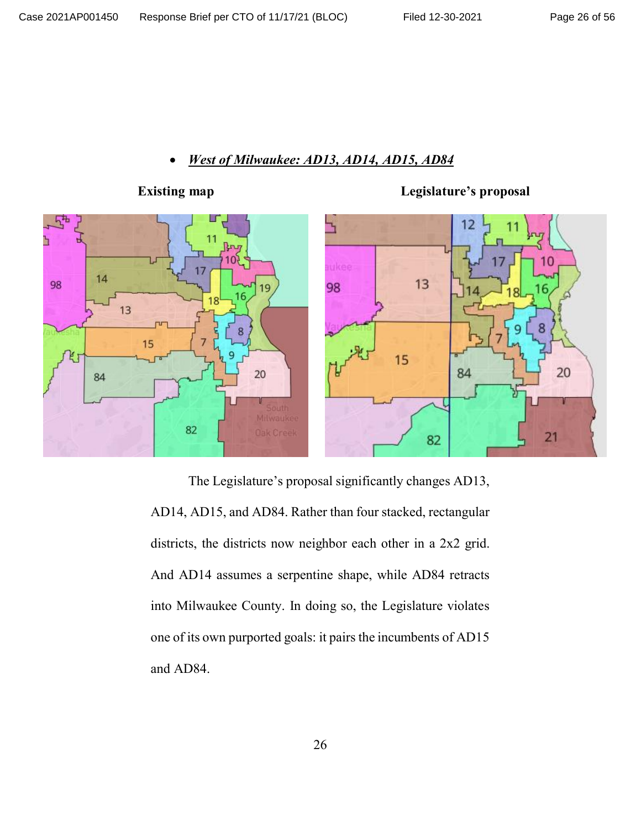## x *West of Milwaukee: AD13, AD14, AD15, AD84*



The Legislature's proposal significantly changes AD13, AD14, AD15, and AD84. Rather than four stacked, rectangular districts, the districts now neighbor each other in a 2x2 grid. And AD14 assumes a serpentine shape, while AD84 retracts into Milwaukee County. In doing so, the Legislature violates one of its own purported goals: it pairs the incumbents of AD15 and AD84.

**Existing map Legislature's proposal**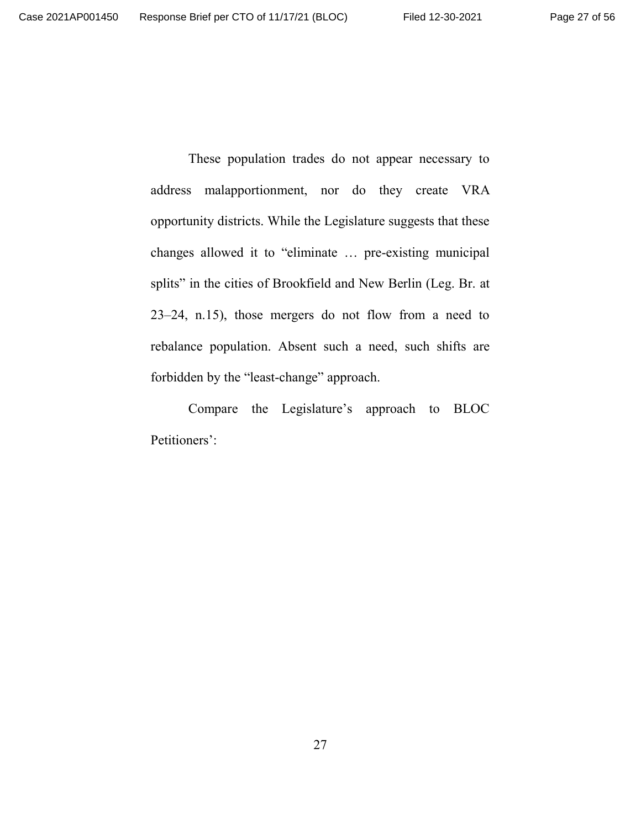These population trades do not appear necessary to address malapportionment, nor do they create VRA opportunity districts. While the Legislature suggests that these changes allowed it to "eliminate … pre-existing municipal splits" in the cities of Brookfield and New Berlin (Leg. Br. at 23–24, n.15), those mergers do not flow from a need to rebalance population. Absent such a need, such shifts are forbidden by the "least-change" approach.

Compare the Legislature's approach to BLOC Petitioners':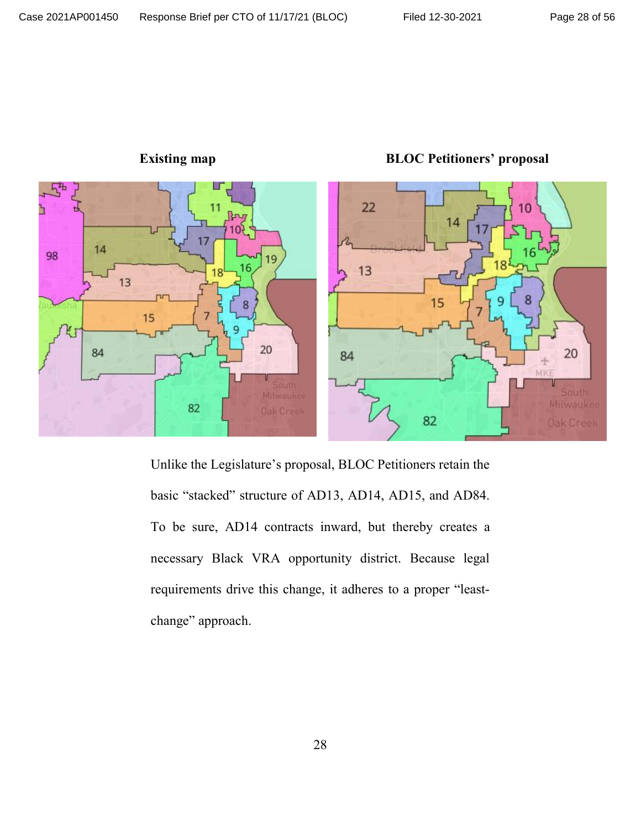

**Existing map BLOC Petitioners' proposal**

Unlike the Legislature's proposal, BLOC Petitioners retain the basic "stacked" structure of AD13, AD14, AD15, and AD84. To be sure, AD14 contracts inward, but thereby creates a necessary Black VRA opportunity district. Because legal requirements drive this change, it adheres to a proper "leastchange" approach.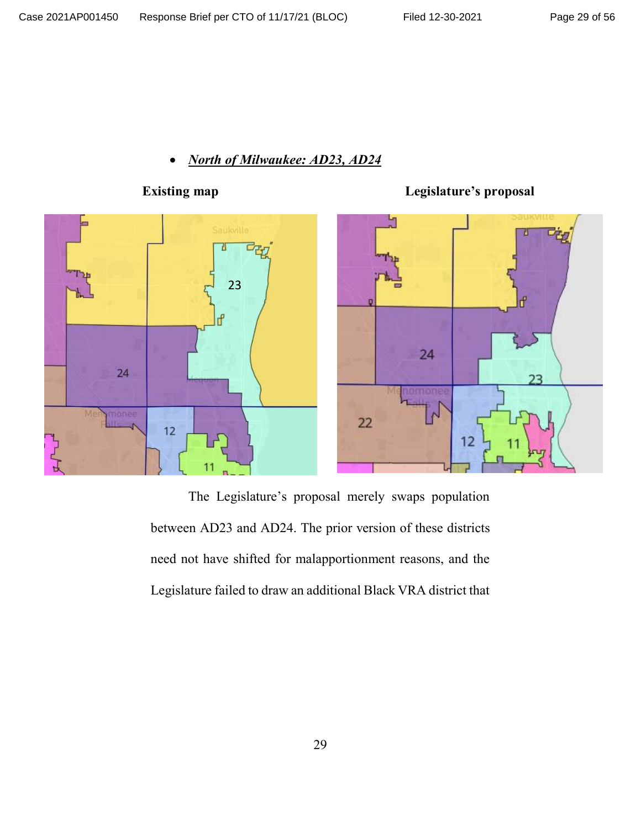# x *North of Milwaukee: AD23, AD24*



# **Existing map**

h 24 23  $\mathsf{N}$  $22$  $12$ 

**Legislature's proposal**

The Legislature's proposal merely swaps population between AD23 and AD24. The prior version of these districts need not have shifted for malapportionment reasons, and the Legislature failed to draw an additional Black VRA district that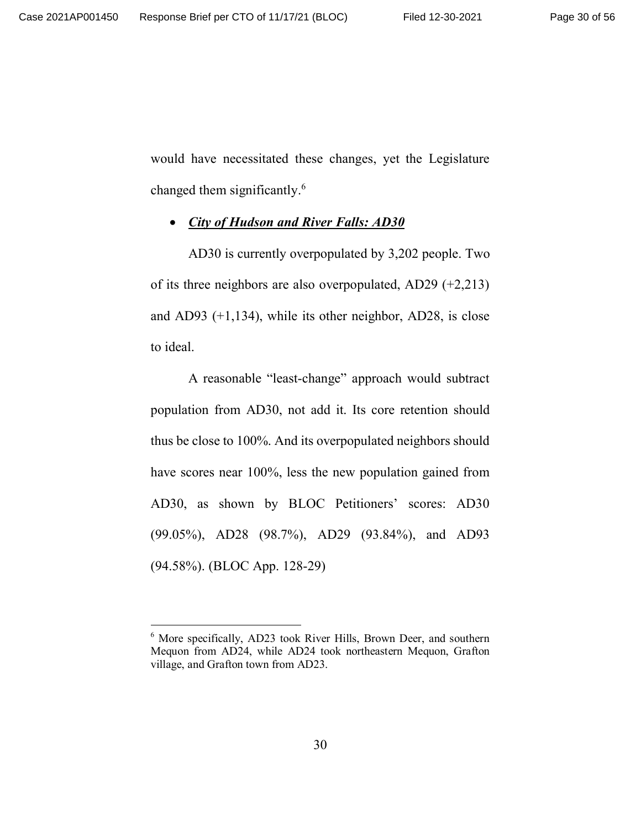would have necessitated these changes, yet the Legislature changed them significantly.<sup>6</sup>

#### x *City of Hudson and River Falls: AD30*

AD30 is currently overpopulated by 3,202 people. Two of its three neighbors are also overpopulated, AD29 (+2,213) and AD93 (+1,134), while its other neighbor, AD28, is close to ideal.

A reasonable "least-change" approach would subtract population from AD30, not add it. Its core retention should thus be close to 100%. And its overpopulated neighbors should have scores near 100%, less the new population gained from AD30, as shown by BLOC Petitioners' scores: AD30 (99.05%), AD28 (98.7%), AD29 (93.84%), and AD93 (94.58%). (BLOC App. 128-29)

<sup>&</sup>lt;sup>6</sup> More specifically, AD23 took River Hills, Brown Deer, and southern Mequon from AD24, while AD24 took northeastern Mequon, Grafton village, and Grafton town from AD23.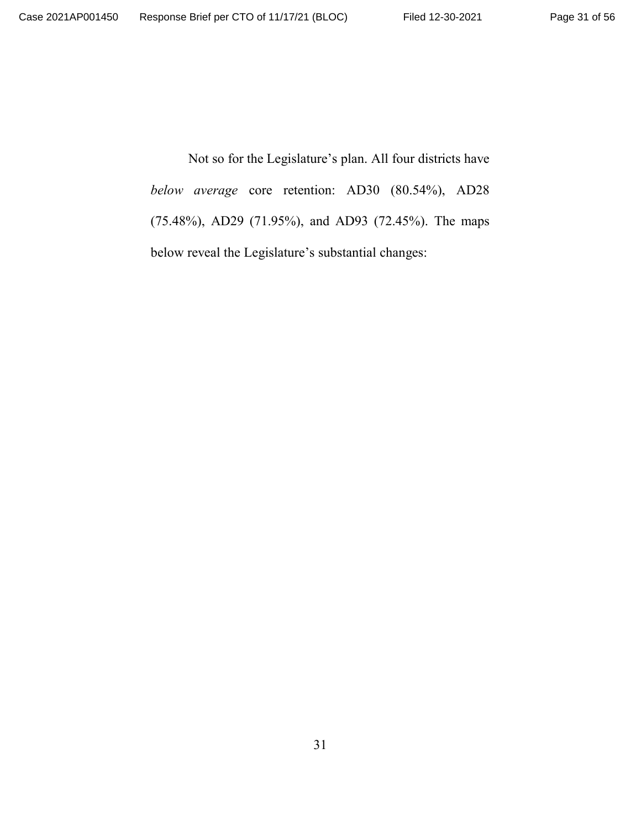Not so for the Legislature's plan. All four districts have *below average* core retention: AD30 (80.54%), AD28 (75.48%), AD29 (71.95%), and AD93 (72.45%). The maps below reveal the Legislature's substantial changes: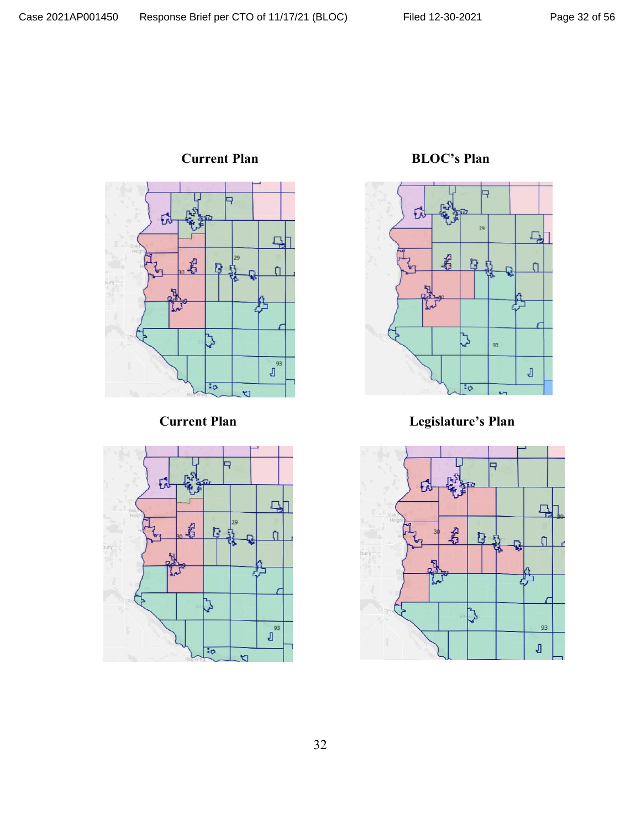



**Current Plan BLOC's Plan** 



**Current Plan Legislature's Plan**

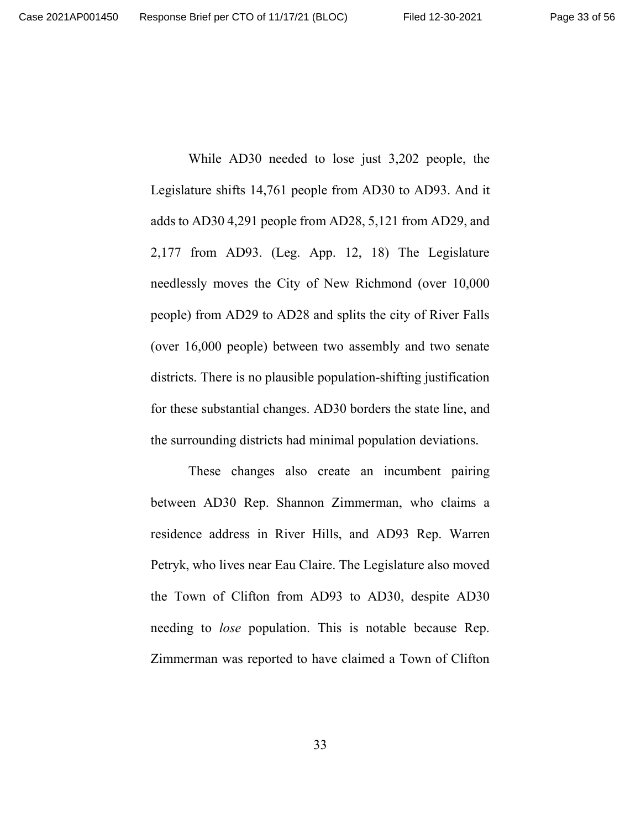While AD30 needed to lose just 3,202 people, the Legislature shifts 14,761 people from AD30 to AD93. And it adds to AD30 4,291 people from AD28, 5,121 from AD29, and 2,177 from AD93. (Leg. App. 12, 18) The Legislature needlessly moves the City of New Richmond (over 10,000 people) from AD29 to AD28 and splits the city of River Falls (over 16,000 people) between two assembly and two senate districts. There is no plausible population-shifting justification for these substantial changes. AD30 borders the state line, and the surrounding districts had minimal population deviations.

These changes also create an incumbent pairing between AD30 Rep. Shannon Zimmerman, who claims a residence address in River Hills, and AD93 Rep. Warren Petryk, who lives near Eau Claire. The Legislature also moved the Town of Clifton from AD93 to AD30, despite AD30 needing to *lose* population. This is notable because Rep. Zimmerman was reported to have claimed a Town of Clifton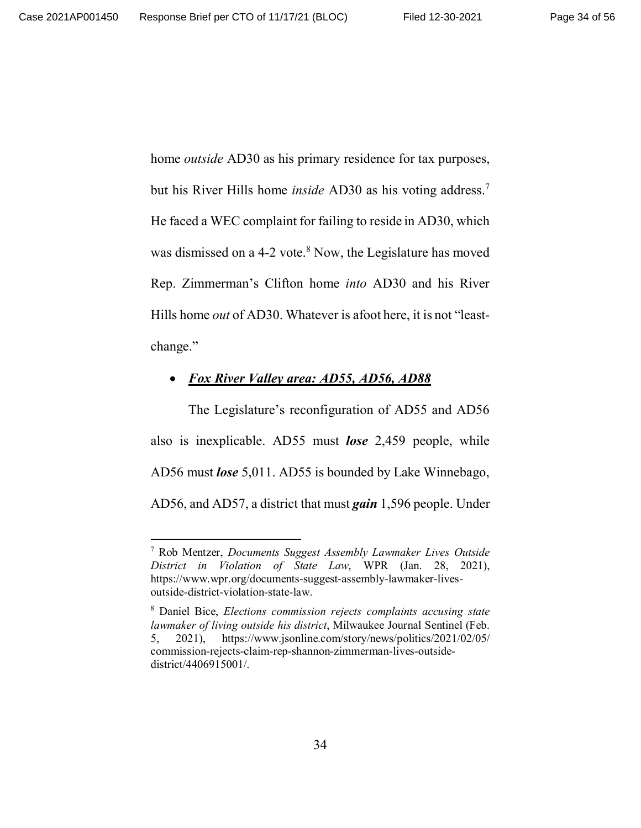home *outside* AD30 as his primary residence for tax purposes, but his River Hills home *inside* AD30 as his voting address.<sup>7</sup> He faced a WEC complaint for failing to reside in AD30, which was dismissed on a 4-2 vote.<sup>8</sup> Now, the Legislature has moved Rep. Zimmerman's Clifton home *into* AD30 and his River Hills home *out* of AD30. Whatever is afoot here, it is not "leastchange."

#### x *Fox River Valley area: AD55, AD56, AD88*

The Legislature's reconfiguration of AD55 and AD56 also is inexplicable. AD55 must *lose* 2,459 people, while AD56 must *lose* 5,011. AD55 is bounded by Lake Winnebago, AD56, and AD57, a district that must *gain* 1,596 people. Under

<sup>7</sup> Rob Mentzer, *Documents Suggest Assembly Lawmaker Lives Outside District in Violation of State Law*, WPR (Jan. 28, 2021), https://www.wpr.org/documents-suggest-assembly-lawmaker-livesoutside-district-violation-state-law.

<sup>8</sup> Daniel Bice, *Elections commission rejects complaints accusing state lawmaker of living outside his district*, Milwaukee Journal Sentinel (Feb. 5, 2021), https://www.jsonline.com/story/news/politics/2021/02/05/ commission-rejects-claim-rep-shannon-zimmerman-lives-outsidedistrict/4406915001/.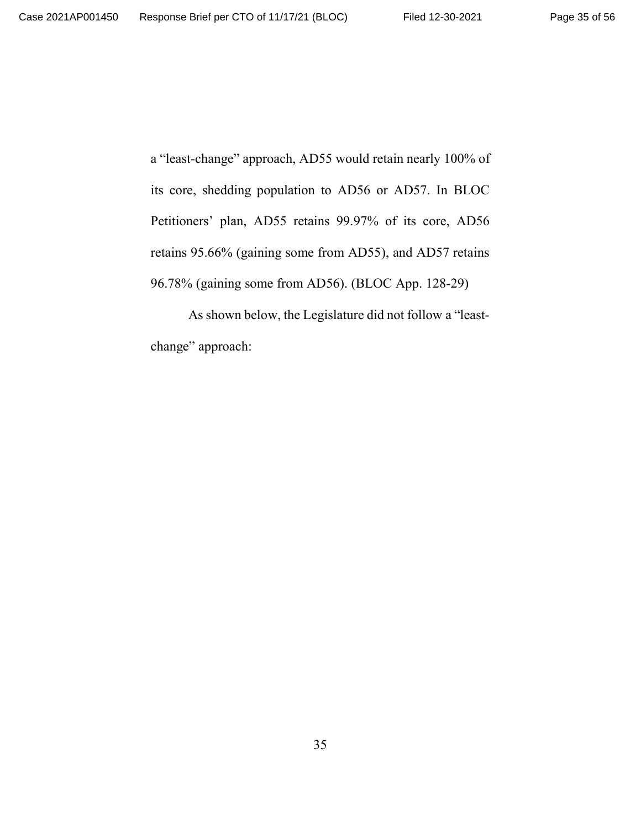a "least-change" approach, AD55 would retain nearly 100% of its core, shedding population to AD56 or AD57. In BLOC Petitioners' plan, AD55 retains 99.97% of its core, AD56 retains 95.66% (gaining some from AD55), and AD57 retains 96.78% (gaining some from AD56). (BLOC App. 128-29)

As shown below, the Legislature did not follow a "leastchange" approach: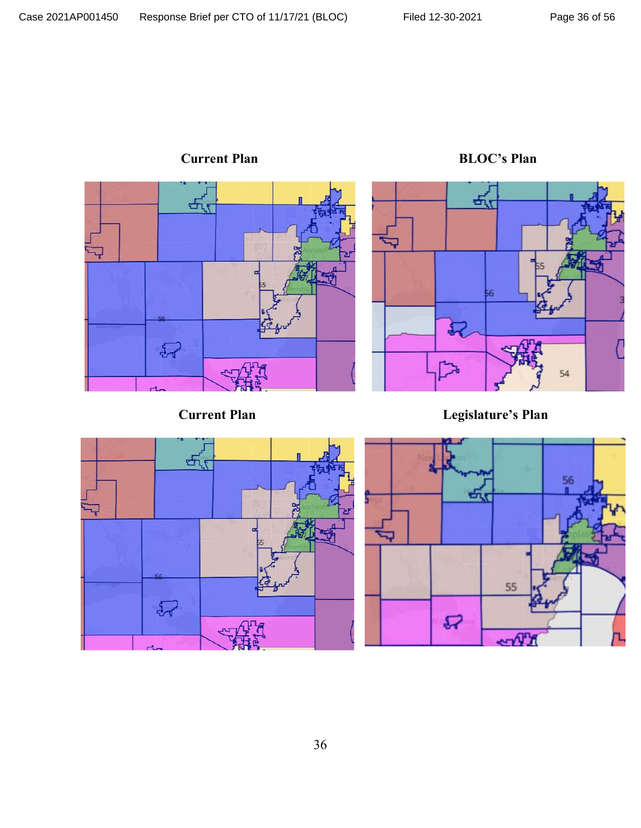

**Current Plan BLOC's Plan**

**Current Plan Legislature's Plan**

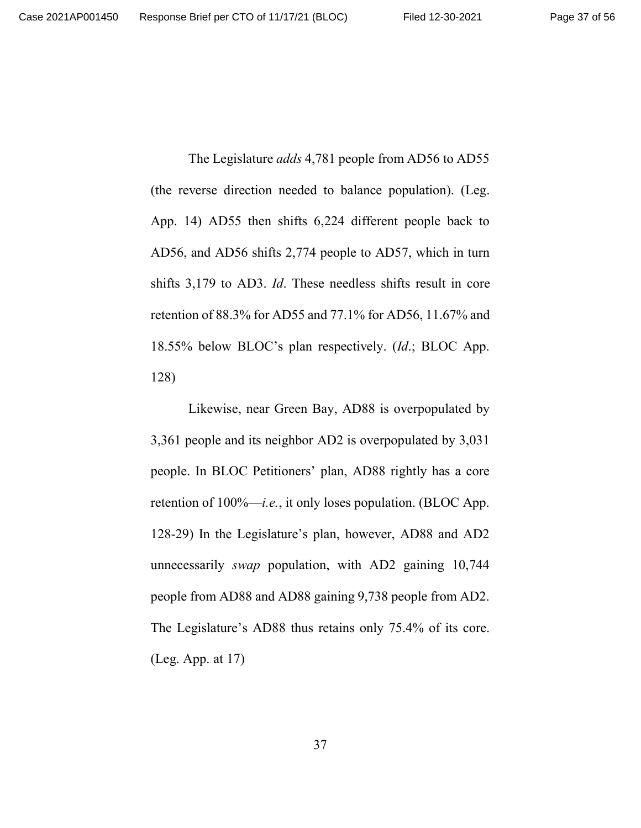The Legislature *adds* 4,781 people from AD56 to AD55 (the reverse direction needed to balance population). (Leg. App. 14) AD55 then shifts 6,224 different people back to AD56, and AD56 shifts 2,774 people to AD57, which in turn shifts 3,179 to AD3. *Id*. These needless shifts result in core retention of 88.3% for AD55 and 77.1% for AD56, 11.67% and 18.55% below BLOC's plan respectively. (*Id*.; BLOC App. 128)

Likewise, near Green Bay, AD88 is overpopulated by 3,361 people and its neighbor AD2 is overpopulated by 3,031 people. In BLOC Petitioners' plan, AD88 rightly has a core retention of 100%—*i.e.*, it only loses population. (BLOC App. 128-29) In the Legislature's plan, however, AD88 and AD2 unnecessarily *swap* population, with AD2 gaining 10,744 people from AD88 and AD88 gaining 9,738 people from AD2. The Legislature's AD88 thus retains only 75.4% of its core. (Leg. App. at 17)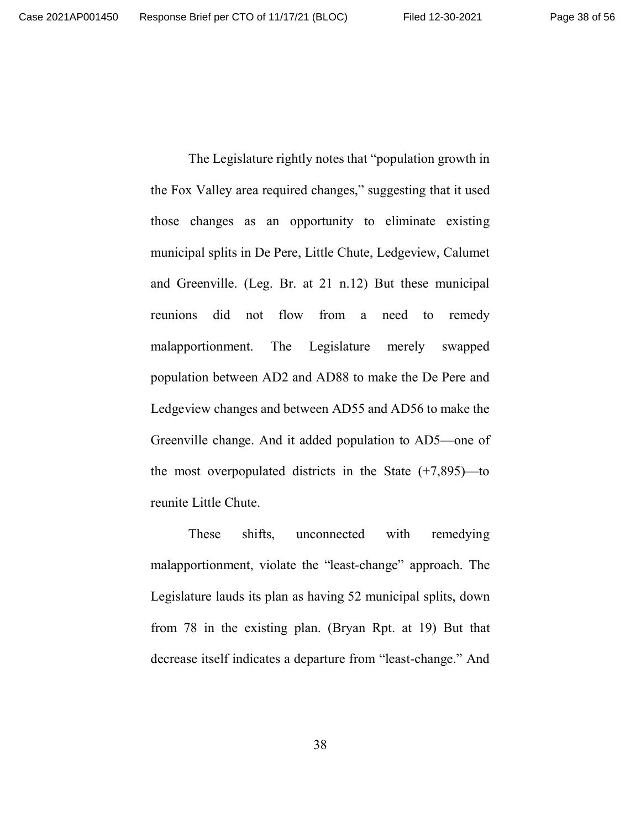The Legislature rightly notes that "population growth in the Fox Valley area required changes," suggesting that it used those changes as an opportunity to eliminate existing municipal splits in De Pere, Little Chute, Ledgeview, Calumet and Greenville. (Leg. Br. at 21 n.12) But these municipal reunions did not flow from a need to remedy malapportionment. The Legislature merely swapped population between AD2 and AD88 to make the De Pere and Ledgeview changes and between AD55 and AD56 to make the Greenville change. And it added population to AD5—one of the most overpopulated districts in the State  $(+7,895)$ —to reunite Little Chute.

These shifts, unconnected with remedying malapportionment, violate the "least-change" approach. The Legislature lauds its plan as having 52 municipal splits, down from 78 in the existing plan. (Bryan Rpt. at 19) But that decrease itself indicates a departure from "least-change." And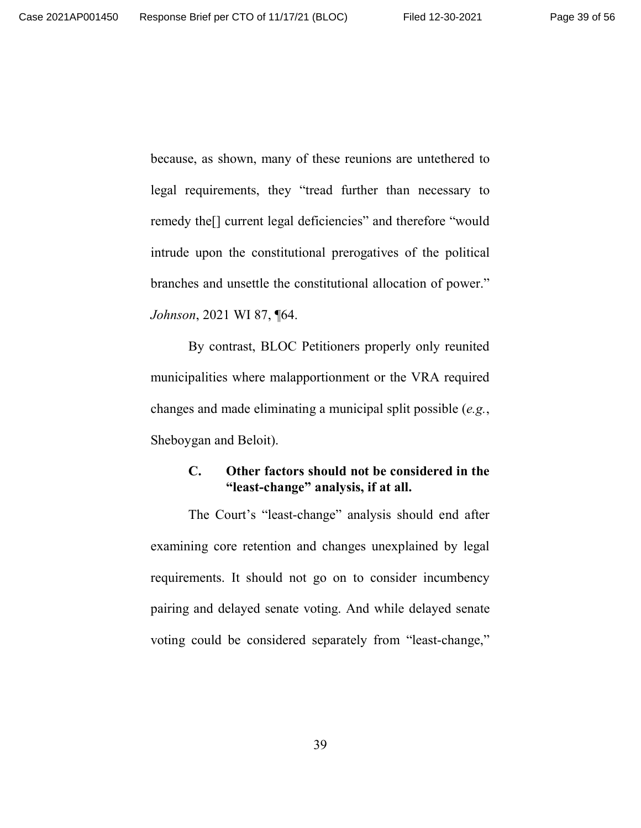because, as shown, many of these reunions are untethered to legal requirements, they "tread further than necessary to remedy the[] current legal deficiencies" and therefore "would intrude upon the constitutional prerogatives of the political branches and unsettle the constitutional allocation of power." *Johnson*, 2021 WI 87, ¶64.

By contrast, BLOC Petitioners properly only reunited municipalities where malapportionment or the VRA required changes and made eliminating a municipal split possible (*e.g.*, Sheboygan and Beloit).

#### **C. Other factors should not be considered in the "least-change" analysis, if at all.**

The Court's "least-change" analysis should end after examining core retention and changes unexplained by legal requirements. It should not go on to consider incumbency pairing and delayed senate voting. And while delayed senate voting could be considered separately from "least-change,"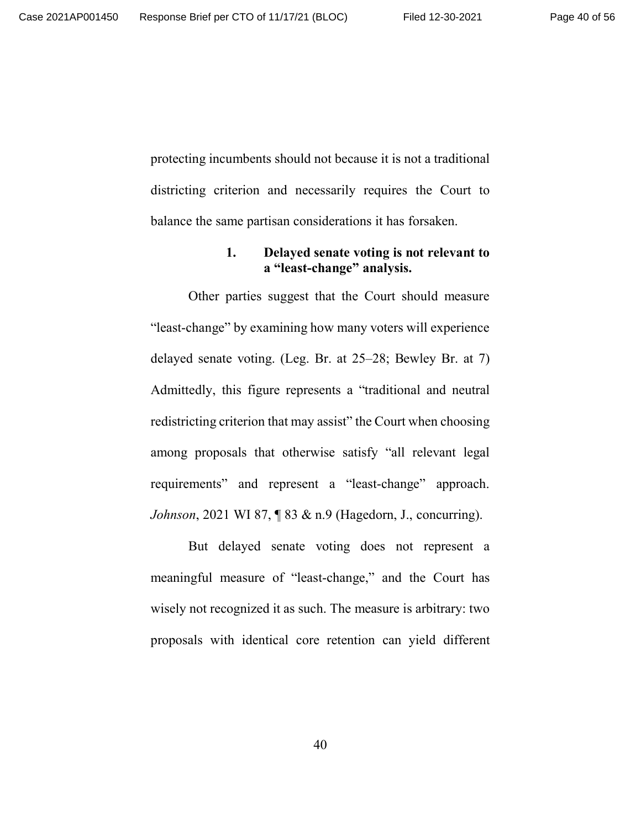protecting incumbents should not because it is not a traditional districting criterion and necessarily requires the Court to balance the same partisan considerations it has forsaken.

#### **1. Delayed senate voting is not relevant to a "least-change" analysis.**

Other parties suggest that the Court should measure "least-change" by examining how many voters will experience delayed senate voting. (Leg. Br. at 25–28; Bewley Br. at 7) Admittedly, this figure represents a "traditional and neutral redistricting criterion that may assist" the Court when choosing among proposals that otherwise satisfy "all relevant legal requirements" and represent a "least-change" approach. *Johnson*, 2021 WI 87, 1 83 & n.9 (Hagedorn, J., concurring).

But delayed senate voting does not represent a meaningful measure of "least-change," and the Court has wisely not recognized it as such. The measure is arbitrary: two proposals with identical core retention can yield different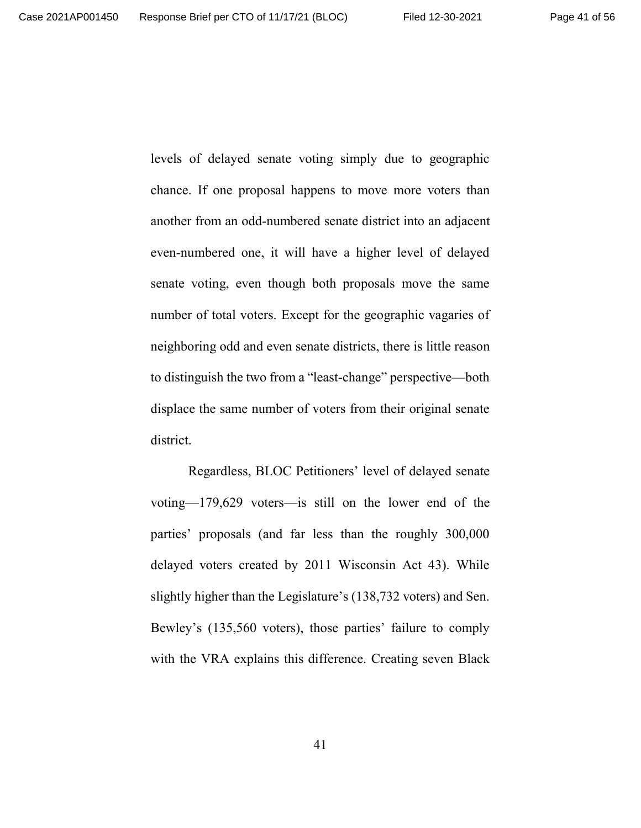levels of delayed senate voting simply due to geographic chance. If one proposal happens to move more voters than another from an odd-numbered senate district into an adjacent even-numbered one, it will have a higher level of delayed senate voting, even though both proposals move the same number of total voters. Except for the geographic vagaries of neighboring odd and even senate districts, there is little reason to distinguish the two from a "least-change" perspective—both displace the same number of voters from their original senate district.

Regardless, BLOC Petitioners' level of delayed senate voting—179,629 voters—is still on the lower end of the parties' proposals (and far less than the roughly 300,000 delayed voters created by 2011 Wisconsin Act 43). While slightly higher than the Legislature's (138,732 voters) and Sen. Bewley's (135,560 voters), those parties' failure to comply with the VRA explains this difference. Creating seven Black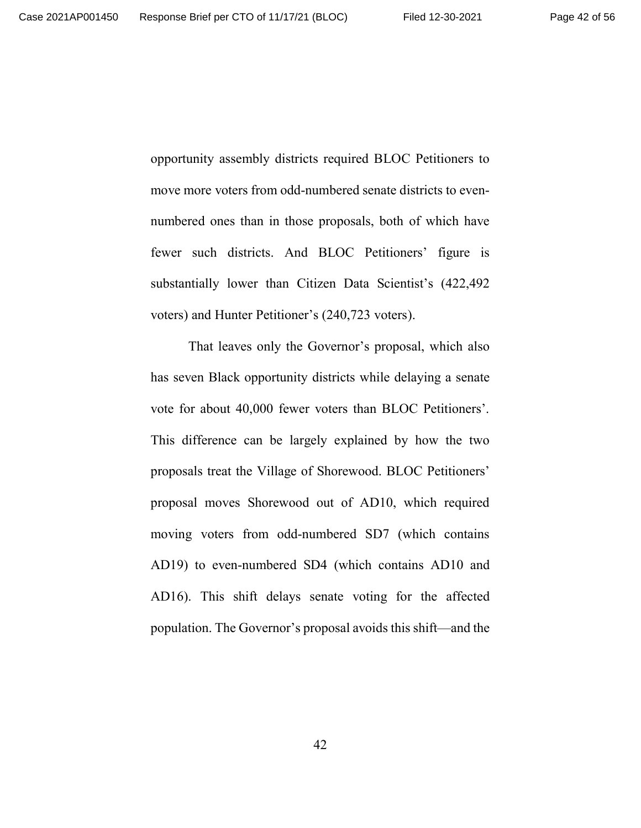opportunity assembly districts required BLOC Petitioners to move more voters from odd-numbered senate districts to evennumbered ones than in those proposals, both of which have fewer such districts. And BLOC Petitioners' figure is substantially lower than Citizen Data Scientist's (422,492 voters) and Hunter Petitioner's (240,723 voters).

That leaves only the Governor's proposal, which also has seven Black opportunity districts while delaying a senate vote for about 40,000 fewer voters than BLOC Petitioners'. This difference can be largely explained by how the two proposals treat the Village of Shorewood. BLOC Petitioners' proposal moves Shorewood out of AD10, which required moving voters from odd-numbered SD7 (which contains AD19) to even-numbered SD4 (which contains AD10 and AD16). This shift delays senate voting for the affected population. The Governor's proposal avoids this shift—and the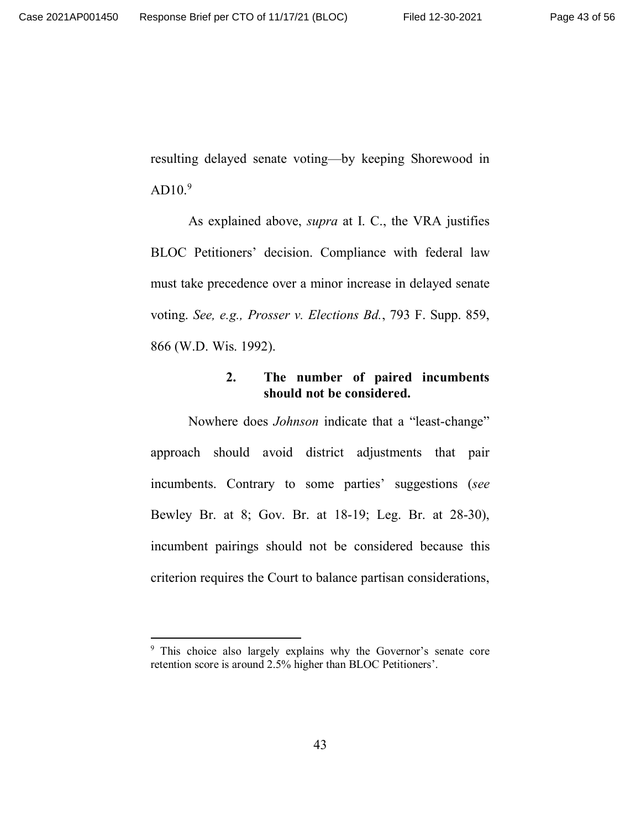resulting delayed senate voting—by keeping Shorewood in  $AD10.<sup>9</sup>$ 

As explained above, *supra* at I. C., the VRA justifies BLOC Petitioners' decision. Compliance with federal law must take precedence over a minor increase in delayed senate voting. *See, e.g., Prosser v. Elections Bd.*, 793 F. Supp. 859, 866 (W.D. Wis. 1992).

#### **2. The number of paired incumbents should not be considered.**

Nowhere does *Johnson* indicate that a "least-change" approach should avoid district adjustments that pair incumbents. Contrary to some parties' suggestions (*see* Bewley Br. at 8; Gov. Br. at 18-19; Leg. Br. at 28-30), incumbent pairings should not be considered because this criterion requires the Court to balance partisan considerations,

<sup>9</sup> This choice also largely explains why the Governor's senate core retention score is around 2.5% higher than BLOC Petitioners'.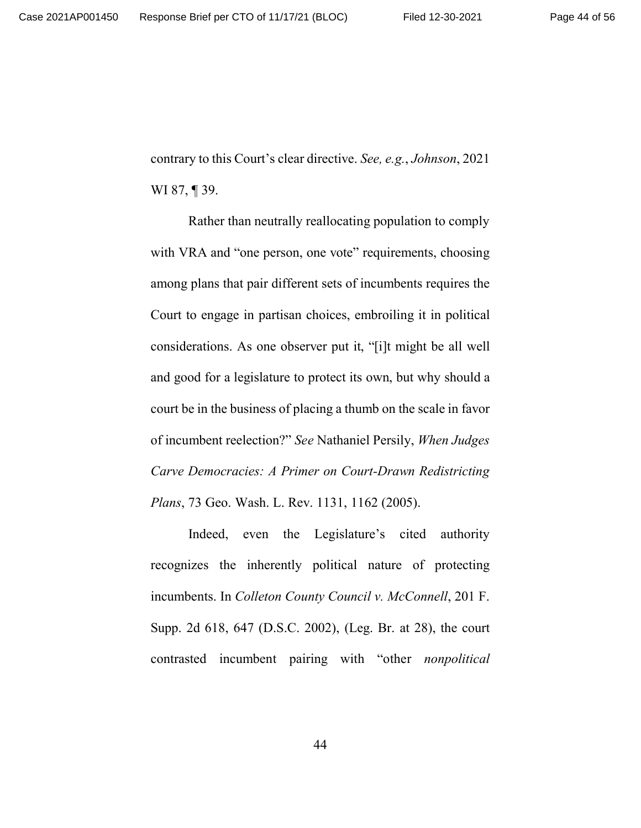contrary to this Court's clear directive. *See, e.g.*, *Johnson*, 2021 WI 87, **[** 39.

Rather than neutrally reallocating population to comply with VRA and "one person, one vote" requirements, choosing among plans that pair different sets of incumbents requires the Court to engage in partisan choices, embroiling it in political considerations. As one observer put it, "[i]t might be all well and good for a legislature to protect its own, but why should a court be in the business of placing a thumb on the scale in favor of incumbent reelection?" *See* Nathaniel Persily, *When Judges Carve Democracies: A Primer on Court-Drawn Redistricting Plans*, 73 Geo. Wash. L. Rev. 1131, 1162 (2005).

Indeed, even the Legislature's cited authority recognizes the inherently political nature of protecting incumbents. In *Colleton County Council v. McConnell*, 201 F. Supp. 2d 618, 647 (D.S.C. 2002), (Leg. Br. at 28), the court contrasted incumbent pairing with "other *nonpolitical*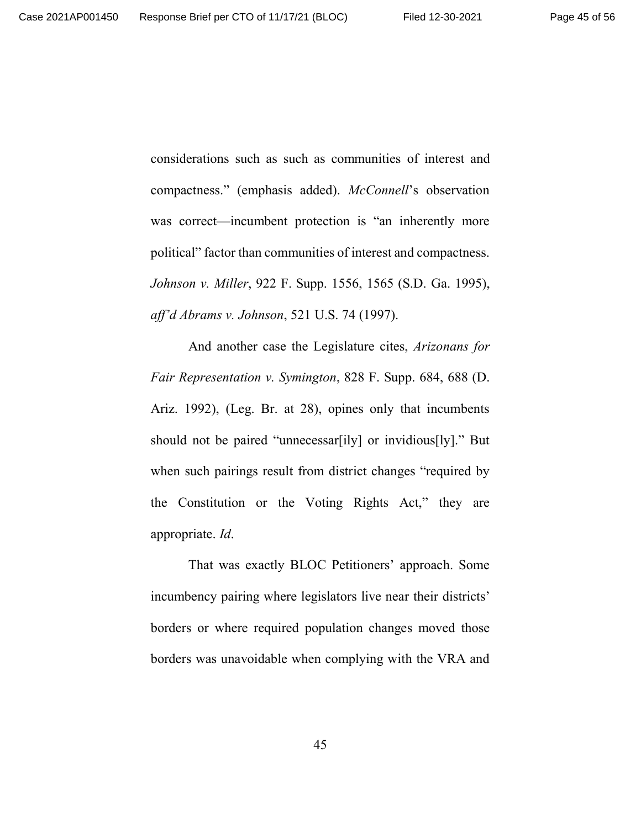considerations such as such as communities of interest and compactness." (emphasis added). *McConnell*'s observation was correct—incumbent protection is "an inherently more political" factor than communities of interest and compactness. *Johnson v. Miller*, 922 F. Supp. 1556, 1565 (S.D. Ga. 1995), *aff'd Abrams v. Johnson*, 521 U.S. 74 (1997).

And another case the Legislature cites, *Arizonans for Fair Representation v. Symington*, 828 F. Supp. 684, 688 (D. Ariz. 1992), (Leg. Br. at 28), opines only that incumbents should not be paired "unnecessar[ily] or invidious[ly]." But when such pairings result from district changes "required by the Constitution or the Voting Rights Act," they are appropriate. *Id*.

That was exactly BLOC Petitioners' approach. Some incumbency pairing where legislators live near their districts' borders or where required population changes moved those borders was unavoidable when complying with the VRA and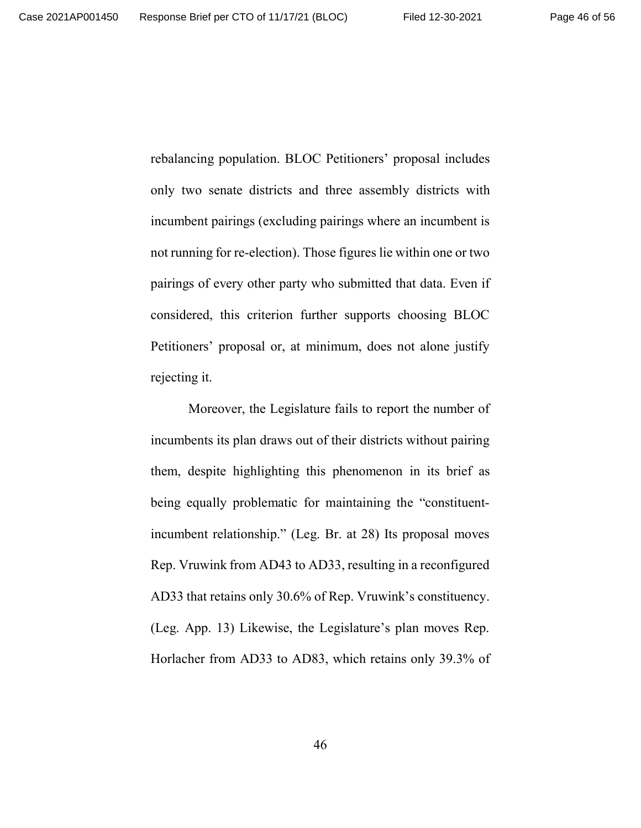rebalancing population. BLOC Petitioners' proposal includes only two senate districts and three assembly districts with incumbent pairings (excluding pairings where an incumbent is not running for re-election). Those figures lie within one or two pairings of every other party who submitted that data. Even if considered, this criterion further supports choosing BLOC Petitioners' proposal or, at minimum, does not alone justify rejecting it.

Moreover, the Legislature fails to report the number of incumbents its plan draws out of their districts without pairing them, despite highlighting this phenomenon in its brief as being equally problematic for maintaining the "constituentincumbent relationship." (Leg. Br. at 28) Its proposal moves Rep. Vruwink from AD43 to AD33, resulting in a reconfigured AD33 that retains only 30.6% of Rep. Vruwink's constituency. (Leg. App. 13) Likewise, the Legislature's plan moves Rep. Horlacher from AD33 to AD83, which retains only 39.3% of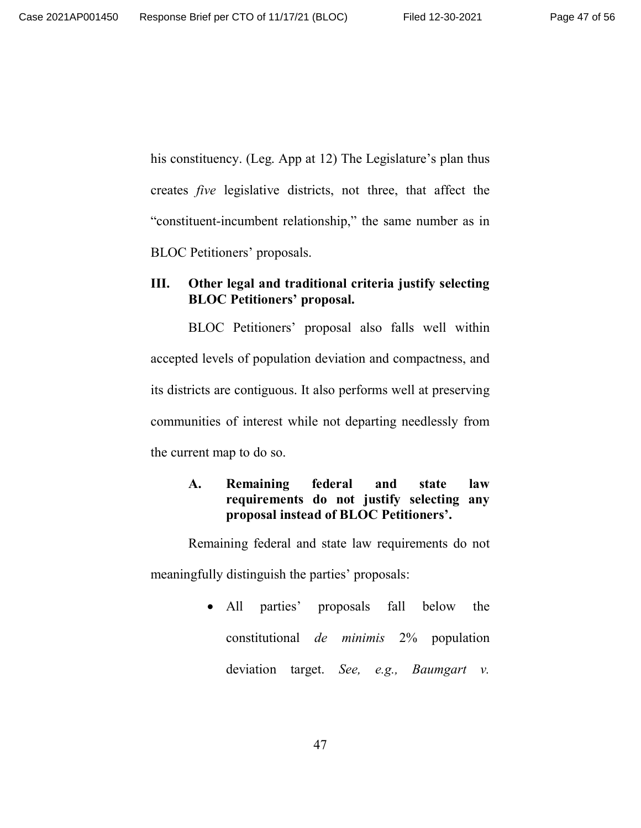his constituency. (Leg. App at 12) The Legislature's plan thus creates *five* legislative districts, not three, that affect the "constituent-incumbent relationship," the same number as in BLOC Petitioners' proposals.

# **III. Other legal and traditional criteria justify selecting BLOC Petitioners' proposal.**

BLOC Petitioners' proposal also falls well within accepted levels of population deviation and compactness, and its districts are contiguous. It also performs well at preserving communities of interest while not departing needlessly from the current map to do so.

# **A. Remaining federal and state law requirements do not justify selecting any proposal instead of BLOC Petitioners'.**

Remaining federal and state law requirements do not meaningfully distinguish the parties' proposals:

> • All parties' proposals fall below the constitutional *de minimis* 2% population deviation target. *See, e.g., Baumgart v.*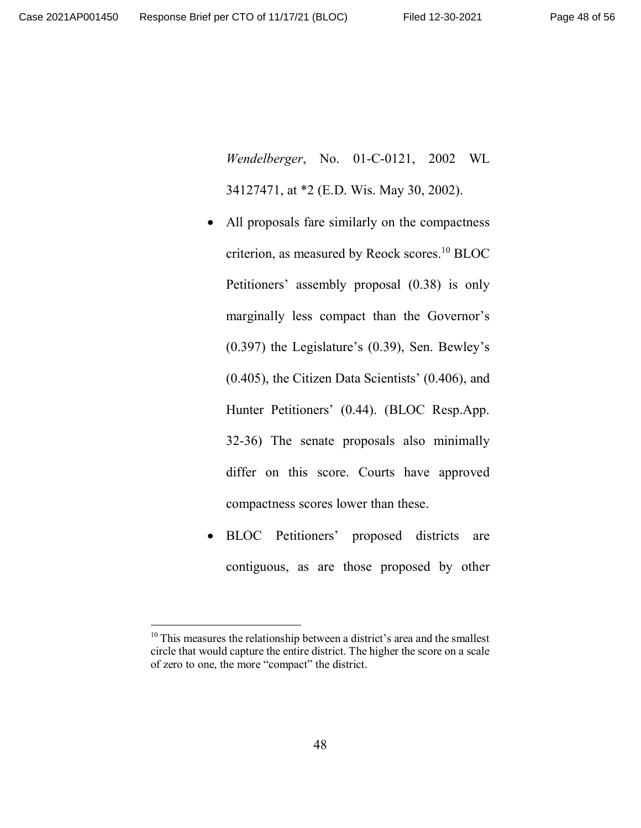*Wendelberger*, No. 01-C-0121, 2002 WL 34127471, at \*2 (E.D. Wis. May 30, 2002).

- All proposals fare similarly on the compactness criterion, as measured by Reock scores.<sup>10</sup> BLOC Petitioners' assembly proposal (0.38) is only marginally less compact than the Governor's (0.397) the Legislature's (0.39), Sen. Bewley's (0.405), the Citizen Data Scientists' (0.406), and Hunter Petitioners' (0.44). (BLOC Resp.App. 32-36) The senate proposals also minimally differ on this score. Courts have approved compactness scores lower than these.
- BLOC Petitioners' proposed districts are contiguous, as are those proposed by other

 $10$  This measures the relationship between a district's area and the smallest circle that would capture the entire district. The higher the score on a scale of zero to one, the more "compact" the district.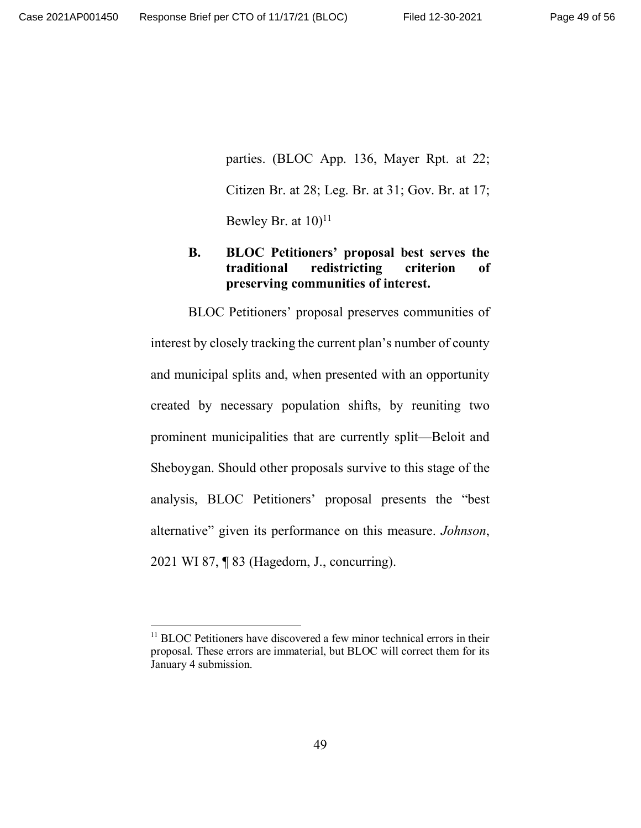parties. (BLOC App. 136, Mayer Rpt. at 22; Citizen Br. at 28; Leg. Br. at 31; Gov. Br. at 17; Bewley Br. at  $10$ <sup>11</sup>

# **B. BLOC Petitioners' proposal best serves the traditional redistricting criterion of preserving communities of interest.**

BLOC Petitioners' proposal preserves communities of interest by closely tracking the current plan's number of county and municipal splits and, when presented with an opportunity created by necessary population shifts, by reuniting two prominent municipalities that are currently split—Beloit and Sheboygan. Should other proposals survive to this stage of the analysis, BLOC Petitioners' proposal presents the "best alternative" given its performance on this measure. *Johnson*, 2021 WI 87, ¶ 83 (Hagedorn, J., concurring).

<sup>&</sup>lt;sup>11</sup> BLOC Petitioners have discovered a few minor technical errors in their proposal. These errors are immaterial, but BLOC will correct them for its January 4 submission.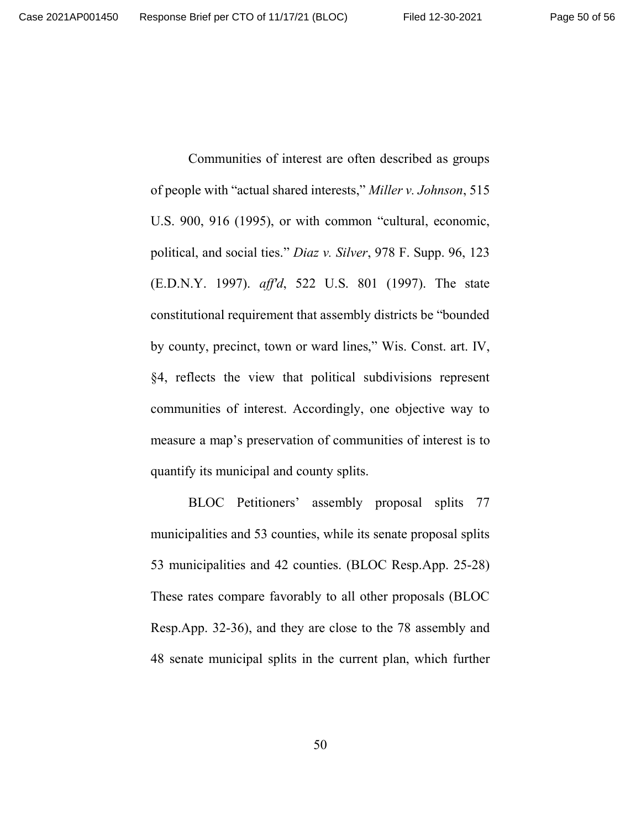Communities of interest are often described as groups of people with "actual shared interests," *Miller v. Johnson*, 515 U.S. 900, 916 (1995), or with common "cultural, economic, political, and social ties." *Diaz v. Silver*, 978 F. Supp. 96, 123 (E.D.N.Y. 1997). *aff'd*, 522 U.S. 801 (1997). The state constitutional requirement that assembly districts be "bounded by county, precinct, town or ward lines," Wis. Const. art. IV, §4, reflects the view that political subdivisions represent communities of interest. Accordingly, one objective way to measure a map's preservation of communities of interest is to quantify its municipal and county splits.

BLOC Petitioners' assembly proposal splits 77 municipalities and 53 counties, while its senate proposal splits 53 municipalities and 42 counties. (BLOC Resp.App. 25-28) These rates compare favorably to all other proposals (BLOC Resp.App. 32-36), and they are close to the 78 assembly and 48 senate municipal splits in the current plan, which further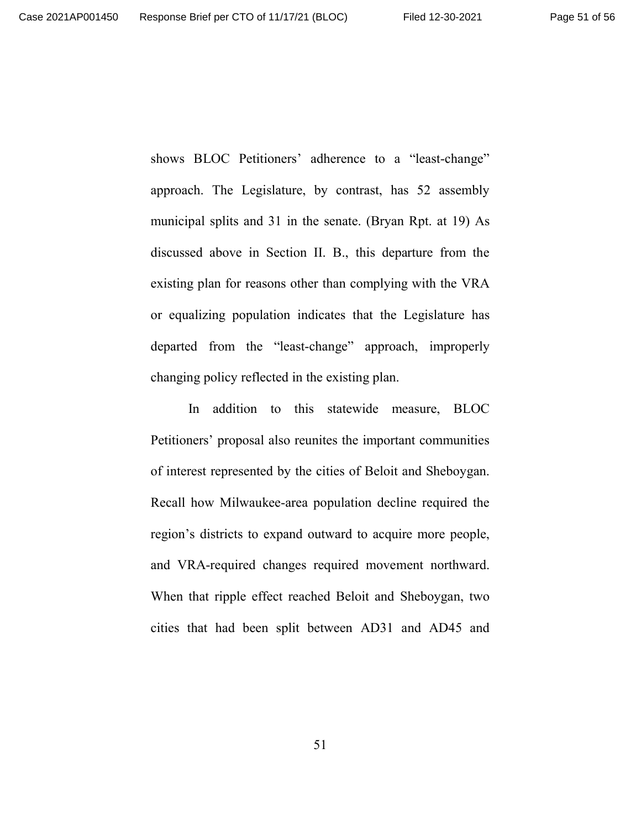shows BLOC Petitioners' adherence to a "least-change" approach. The Legislature, by contrast, has 52 assembly municipal splits and 31 in the senate. (Bryan Rpt. at 19) As discussed above in Section II. B., this departure from the existing plan for reasons other than complying with the VRA or equalizing population indicates that the Legislature has departed from the "least-change" approach, improperly changing policy reflected in the existing plan.

In addition to this statewide measure, BLOC Petitioners' proposal also reunites the important communities of interest represented by the cities of Beloit and Sheboygan. Recall how Milwaukee-area population decline required the region's districts to expand outward to acquire more people, and VRA-required changes required movement northward. When that ripple effect reached Beloit and Sheboygan, two cities that had been split between AD31 and AD45 and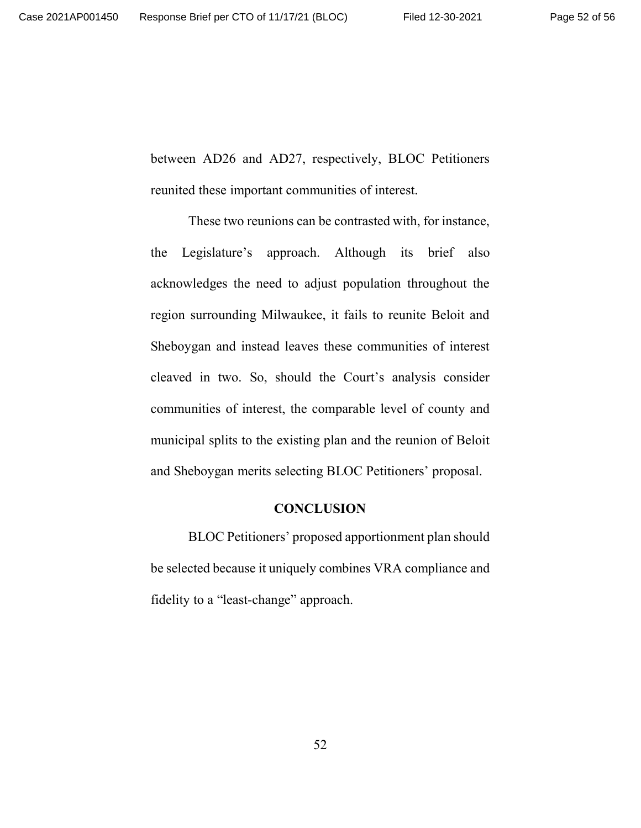between AD26 and AD27, respectively, BLOC Petitioners reunited these important communities of interest.

These two reunions can be contrasted with, for instance, the Legislature's approach. Although its brief also acknowledges the need to adjust population throughout the region surrounding Milwaukee, it fails to reunite Beloit and Sheboygan and instead leaves these communities of interest cleaved in two. So, should the Court's analysis consider communities of interest, the comparable level of county and municipal splits to the existing plan and the reunion of Beloit and Sheboygan merits selecting BLOC Petitioners' proposal.

#### **CONCLUSION**

BLOC Petitioners' proposed apportionment plan should be selected because it uniquely combines VRA compliance and fidelity to a "least-change" approach.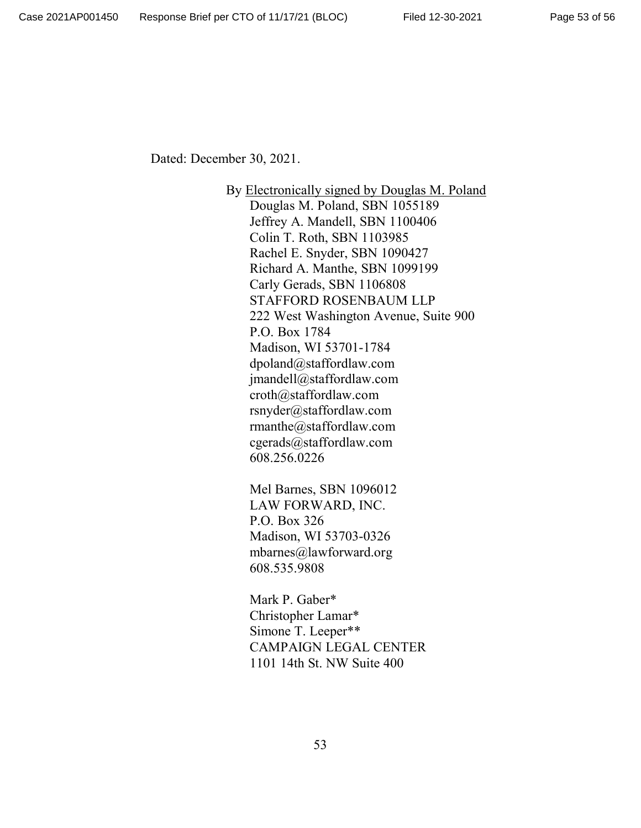Dated: December 30, 2021.

By Electronically signed by Douglas M. Poland Douglas M. Poland, SBN 1055189 Jeffrey A. Mandell, SBN 1100406 Colin T. Roth, SBN 1103985 Rachel E. Snyder, SBN 1090427 Richard A. Manthe, SBN 1099199 Carly Gerads, SBN 1106808 STAFFORD ROSENBAUM LLP 222 West Washington Avenue, Suite 900 P.O. Box 1784 Madison, WI 53701-1784 dpoland@staffordlaw.com jmandell@staffordlaw.com croth@staffordlaw.com rsnyder@staffordlaw.com rmanthe@staffordlaw.com cgerads@staffordlaw.com 608.256.0226

Mel Barnes, SBN 1096012 LAW FORWARD, INC. P.O. Box 326 Madison, WI 53703-0326 mbarnes@lawforward.org 608.535.9808

Mark P. Gaber\* Christopher Lamar\* Simone T. Leeper\*\* CAMPAIGN LEGAL CENTER 1101 14th St. NW Suite 400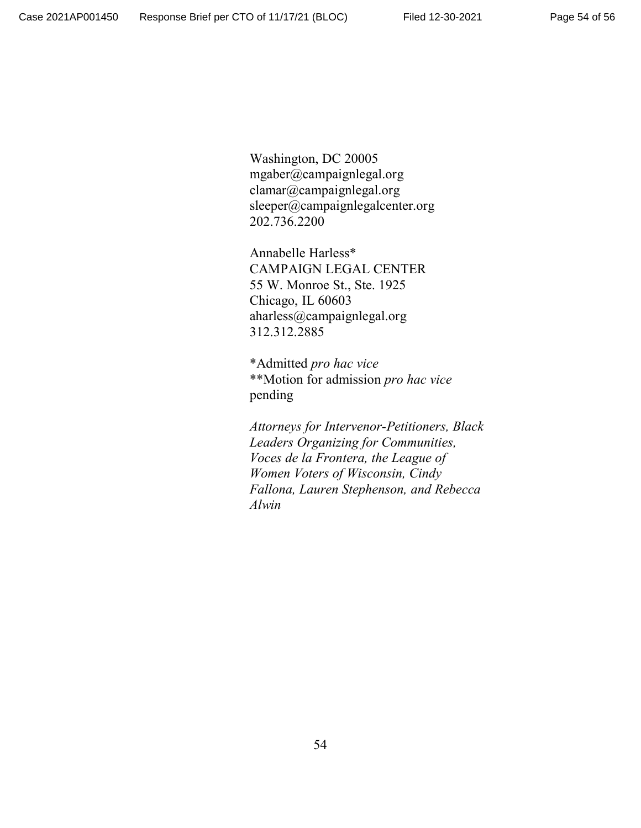Washington, DC 20005 mgaber@campaignlegal.org clamar@campaignlegal.org sleeper@campaignlegalcenter.org 202.736.2200

Annabelle Harless\* CAMPAIGN LEGAL CENTER 55 W. Monroe St., Ste. 1925 Chicago, IL 60603 aharless@campaignlegal.org 312.312.2885

\*Admitted *pro hac vice* \*\*Motion for admission *pro hac vice* pending

*Attorneys for Intervenor-Petitioners, Black Leaders Organizing for Communities, Voces de la Frontera, the League of Women Voters of Wisconsin, Cindy Fallona, Lauren Stephenson, and Rebecca Alwin*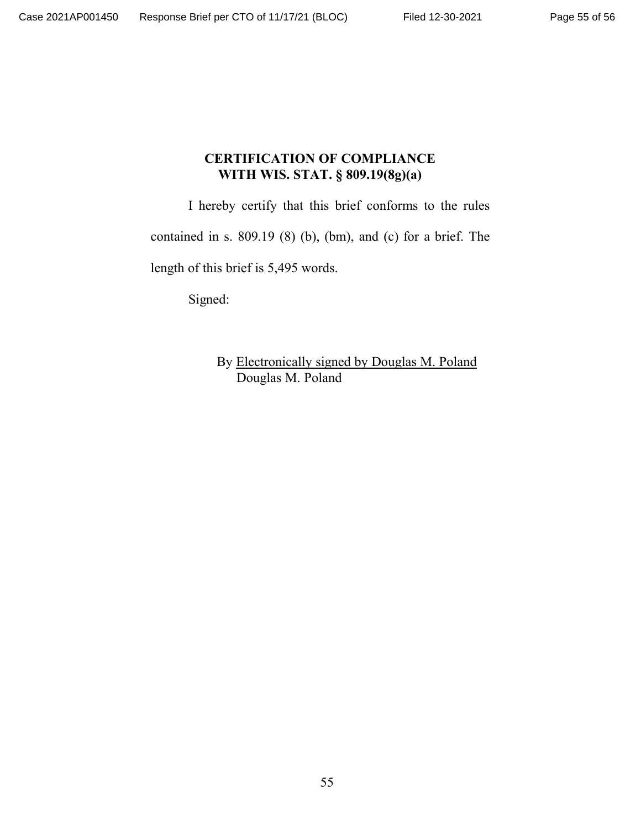## **CERTIFICATION OF COMPLIANCE WITH WIS. STAT. § 809.19(8g)(a)**

I hereby certify that this brief conforms to the rules

contained in s. 809.19 (8) (b), (bm), and (c) for a brief. The

length of this brief is 5,495 words.

Signed:

By Electronically signed by Douglas M. Poland Douglas M. Poland